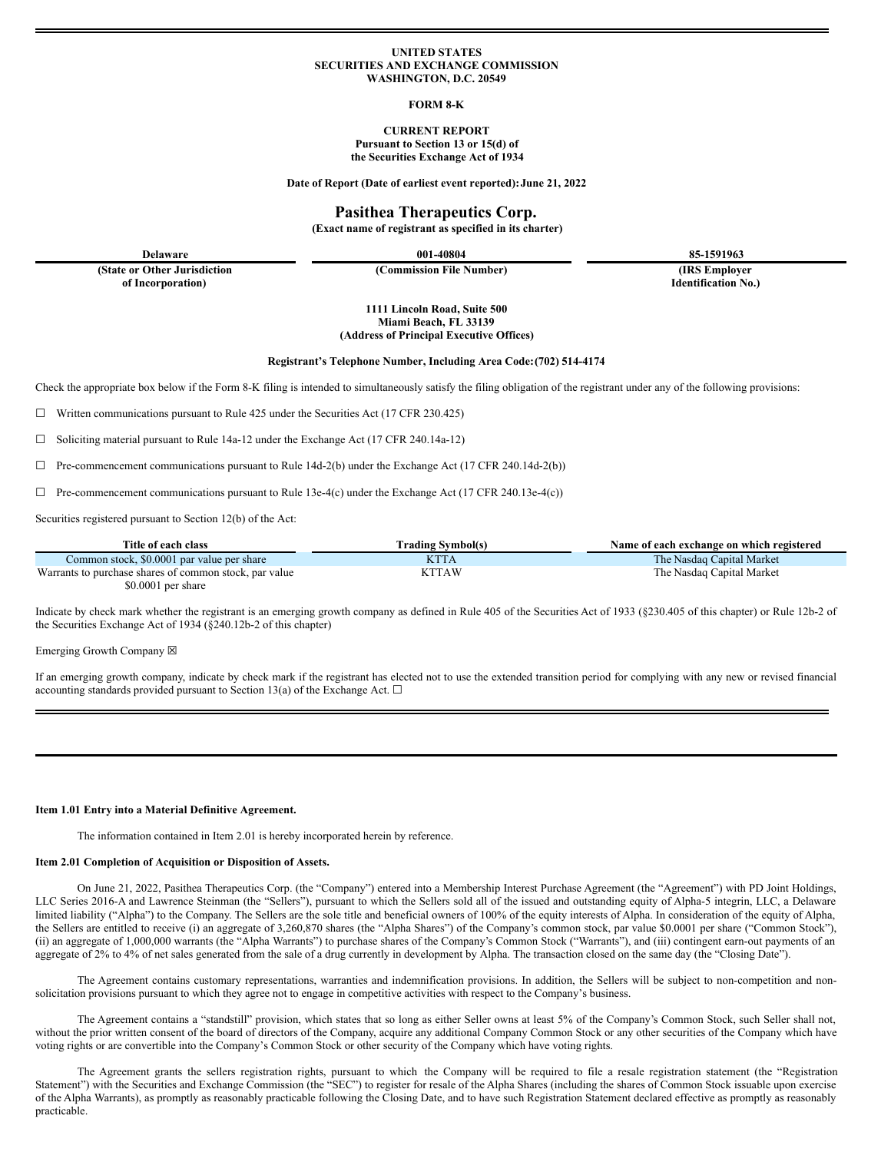#### **UNITED STATES SECURITIES AND EXCHANGE COMMISSION WASHINGTON, D.C. 20549**

## **FORM 8-K**

## **CURRENT REPORT Pursuant to Section 13 or 15(d) of the Securities Exchange Act of 1934**

**Date of Report (Date of earliest event reported):June 21, 2022**

# **Pasithea Therapeutics Corp.**

**(Exact name of registrant as specified in its charter)**

**Delaware 001-40804 85-1591963**

**(State or Other Jurisdiction of Incorporation)**

**(Commission File Number) (IRS Employer**

**Identification No.)**

**1111 Lincoln Road, Suite 500 Miami Beach, FL 33139 (Address of Principal Executive Offices)**

**Registrant's Telephone Number, Including Area Code:(702) 514-4174**

Check the appropriate box below if the Form 8-K filing is intended to simultaneously satisfy the filing obligation of the registrant under any of the following provisions:

☐ Written communications pursuant to Rule 425 under the Securities Act (17 CFR 230.425)

☐ Soliciting material pursuant to Rule 14a-12 under the Exchange Act (17 CFR 240.14a-12)

 $\Box$  Pre-commencement communications pursuant to Rule 14d-2(b) under the Exchange Act (17 CFR 240.14d-2(b))

 $\Box$  Pre-commencement communications pursuant to Rule 13e-4(c) under the Exchange Act (17 CFR 240.13e-4(c))

Securities registered pursuant to Section 12(b) of the Act:

| Title of each class                                    | Trading Svmbol(s) | Name of each exchange on which registered |
|--------------------------------------------------------|-------------------|-------------------------------------------|
| Common stock, \$0.0001 par value per share             | <b>KTTA</b>       | The Nasdaq Capital Market                 |
| Warrants to purchase shares of common stock, par value | KTTAW             | The Nasdaq Capital Market                 |
| $$0.0001$ per share                                    |                   |                                           |

Indicate by check mark whether the registrant is an emerging growth company as defined in Rule 405 of the Securities Act of 1933 (§230.405 of this chapter) or Rule 12b-2 of the Securities Exchange Act of 1934 (§240.12b-2 of this chapter)

Emerging Growth Company  $\boxtimes$ 

If an emerging growth company, indicate by check mark if the registrant has elected not to use the extended transition period for complying with any new or revised financial accounting standards provided pursuant to Section 13(a) of the Exchange Act.  $\Box$ 

#### **Item 1.01 Entry into a Material Definitive Agreement.**

The information contained in Item 2.01 is hereby incorporated herein by reference.

#### **Item 2.01 Completion of Acquisition or Disposition of Assets.**

On June 21, 2022, Pasithea Therapeutics Corp. (the "Company") entered into a Membership Interest Purchase Agreement (the "Agreement") with PD Joint Holdings, LLC Series 2016-A and Lawrence Steinman (the "Sellers"), pursuant to which the Sellers sold all of the issued and outstanding equity of Alpha-5 integrin, LLC, a Delaware limited liability ("Alpha") to the Company. The Sellers are the sole title and beneficial owners of 100% of the equity interests of Alpha. In consideration of the equity of Alpha, the Sellers are entitled to receive (i) an aggregate of 3,260,870 shares (the "Alpha Shares") of the Company's common stock, par value \$0.0001 per share ("Common Stock"), (ii) an aggregate of 1,000,000 warrants (the "Alpha Warrants") to purchase shares of the Company's Common Stock ("Warrants"), and (iii) contingent earn-out payments of an aggregate of 2% to 4% of net sales generated from the sale of a drug currently in development by Alpha. The transaction closed on the same day (the "Closing Date").

The Agreement contains customary representations, warranties and indemnification provisions. In addition, the Sellers will be subject to non-competition and nonsolicitation provisions pursuant to which they agree not to engage in competitive activities with respect to the Company's business.

The Agreement contains a "standstill" provision, which states that so long as either Seller owns at least 5% of the Company's Common Stock, such Seller shall not, without the prior written consent of the board of directors of the Company, acquire any additional Company Common Stock or any other securities of the Company which have voting rights or are convertible into the Company's Common Stock or other security of the Company which have voting rights.

The Agreement grants the sellers registration rights, pursuant to which the Company will be required to file a resale registration statement (the "Registration Statement") with the Securities and Exchange Commission (the "SEC") to register for resale of the Alpha Shares (including the shares of Common Stock issuable upon exercise of the Alpha Warrants), as promptly as reasonably practicable following the Closing Date, and to have such Registration Statement declared effective as promptly as reasonably practicable.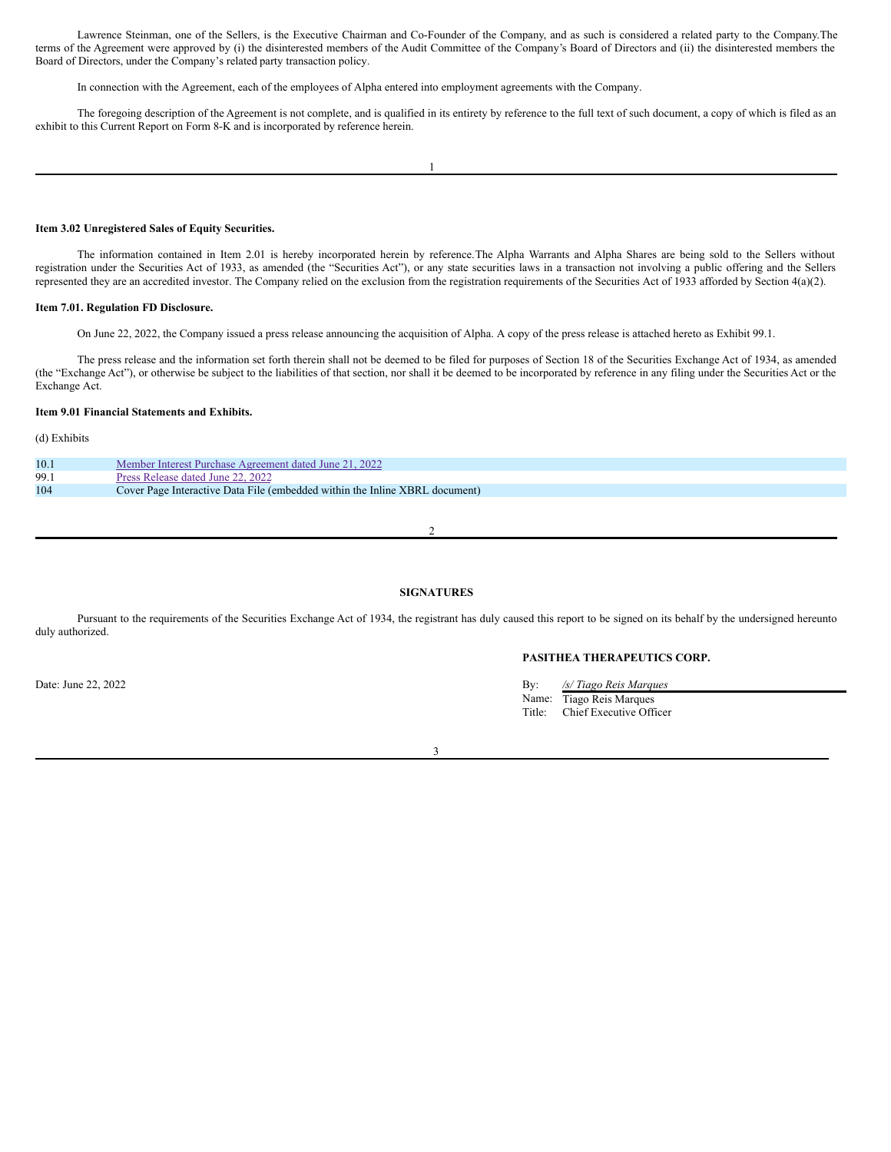Lawrence Steinman, one of the Sellers, is the Executive Chairman and Co-Founder of the Company, and as such is considered a related party to the Company.The terms of the Agreement were approved by (i) the disinterested members of the Audit Committee of the Company's Board of Directors and (ii) the disinterested members the Board of Directors, under the Company's related party transaction policy.

In connection with the Agreement, each of the employees of Alpha entered into employment agreements with the Company.

The foregoing description of the Agreement is not complete, and is qualified in its entirety by reference to the full text of such document, a copy of which is filed as an exhibit to this Current Report on Form 8-K and is incorporated by reference herein.

#### **Item 3.02 Unregistered Sales of Equity Securities.**

The information contained in Item 2.01 is hereby incorporated herein by reference.The Alpha Warrants and Alpha Shares are being sold to the Sellers without registration under the Securities Act of 1933, as amended (the "Securities Act"), or any state securities laws in a transaction not involving a public offering and the Sellers represented they are an accredited investor. The Company relied on the exclusion from the registration requirements of the Securities Act of 1933 afforded by Section 4(a)(2).

#### **Item 7.01. Regulation FD Disclosure.**

On June 22, 2022, the Company issued a press release announcing the acquisition of Alpha. A copy of the press release is attached hereto as Exhibit 99.1.

The press release and the information set forth therein shall not be deemed to be filed for purposes of Section 18 of the Securities Exchange Act of 1934, as amended (the "Exchange Act"), or otherwise be subject to the liabilities of that section, nor shall it be deemed to be incorporated by reference in any filing under the Securities Act or the Exchange Act.

#### **Item 9.01 Financial Statements and Exhibits.**

# (d) Exhibits

| 10.1 | Member Interest Purchase Agreement dated June 21, 2022                      |
|------|-----------------------------------------------------------------------------|
| 99.1 | Press Release dated June 22, 2022                                           |
| 104  | Cover Page Interactive Data File (embedded within the Inline XBRL document) |

 $\overline{\mathcal{L}}$ 

# **SIGNATURES**

Pursuant to the requirements of the Securities Exchange Act of 1934, the registrant has duly caused this report to be signed on its behalf by the undersigned hereunto duly authorized.

# **PASITHEA THERAPEUTICS CORP.**

Date: June 22, 2022 **By:** */s/ Tiago Reis Marques* **By:** */s/ Tiago Reis Marques* Name: Tiago Reis Marques Title: Chief Executive Officer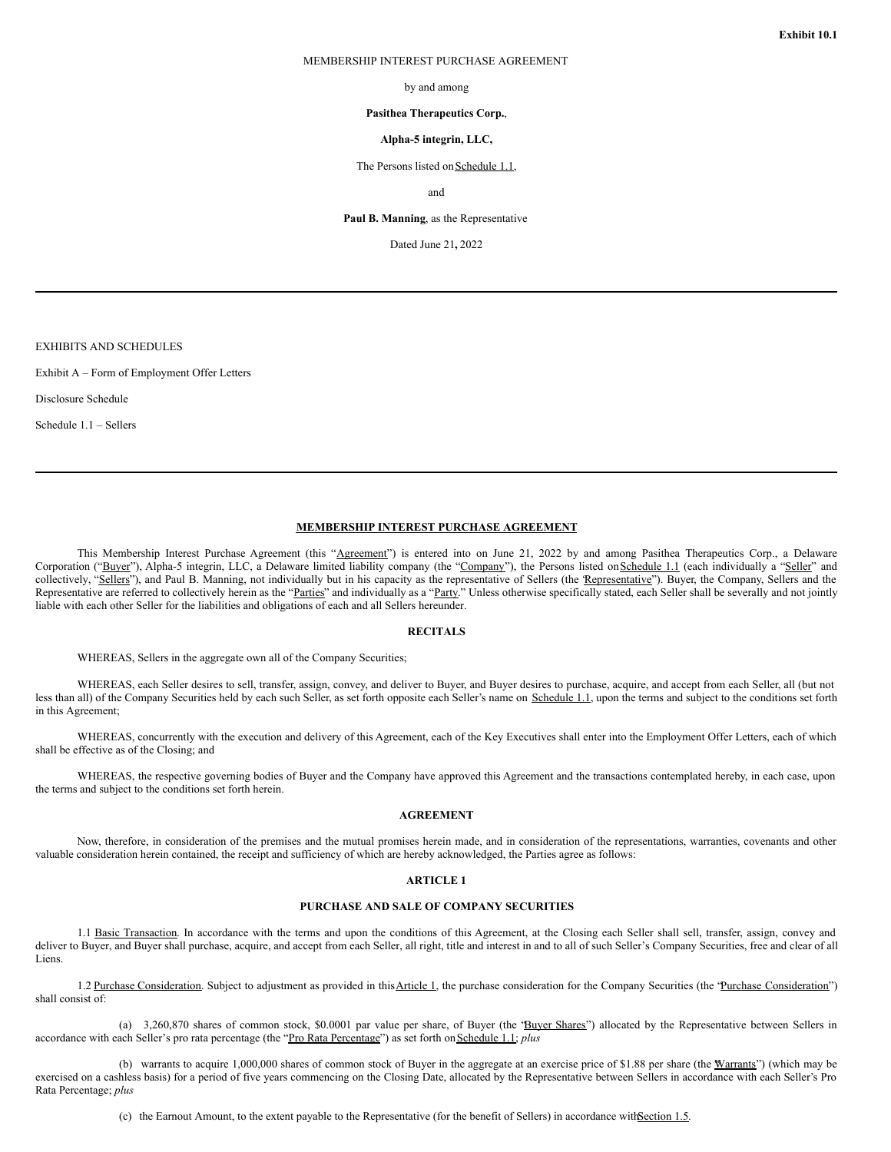#### MEMBERSHIP INTEREST PURCHASE AGREEMENT

by and among

#### **Pasithea Therapeutics Corp.**,

#### **Alpha-5 integrin, LLC,**

The Persons listed on Schedule 1.1,

and

**Paul B. Manning**, as the Representative

Dated June 21**,** 2022

EXHIBITS AND SCHEDULES

Exhibit A – Form of Employment Offer Letters

Disclosure Schedule

Schedule 1.1 – Sellers

# **MEMBERSHIP INTEREST PURCHASE AGREEMENT**

This Membership Interest Purchase Agreement (this "Agreement") is entered into on June 21, 2022 by and among Pasithea Therapeutics Corp., a Delaware Corporation ("Buyer"), Alpha-5 integrin, LLC, a Delaware limited liability company (the "Company"), the Persons listed on Schedule 1.1 (each individually a "Seller" and collectively, "Sellers"), and Paul B. Manning, not individually but in his capacity as the representative of Sellers (the Representative"). Buyer, the Company, Sellers and the Representative are referred to collectively herein as the "Parties" and individually as a "Party." Unless otherwise specifically stated, each Seller shall be severally and not jointly liable with each other Seller for the liabilities and obligations of each and all Sellers hereunder.

#### **RECITALS**

WHEREAS, Sellers in the aggregate own all of the Company Securities;

WHEREAS, each Seller desires to sell, transfer, assign, convey, and deliver to Buyer, and Buyer desires to purchase, acquire, and accept from each Seller, all (but not less than all) of the Company Securities held by each such Seller, as set forth opposite each Seller's name on Schedule 1.1, upon the terms and subject to the conditions set forth in this Agreement;

WHEREAS, concurrently with the execution and delivery of this Agreement, each of the Key Executives shall enter into the Employment Offer Letters, each of which shall be effective as of the Closing; and

WHEREAS, the respective governing bodies of Buyer and the Company have approved this Agreement and the transactions contemplated hereby, in each case, upon the terms and subject to the conditions set forth herein.

# **AGREEMENT**

Now, therefore, in consideration of the premises and the mutual promises herein made, and in consideration of the representations, warranties, covenants and other valuable consideration herein contained, the receipt and sufficiency of which are hereby acknowledged, the Parties agree as follows:

# **ARTICLE 1**

#### **PURCHASE AND SALE OF COMPANY SECURITIES**

1.1 Basic Transaction. In accordance with the terms and upon the conditions of this Agreement, at the Closing each Seller shall sell, transfer, assign, convey and deliver to Buyer, and Buyer shall purchase, acquire, and accept from each Seller, all right, title and interest in and to all of such Seller's Company Securities, free and clear of all Liens.

1.2 Purchase Consideration. Subject to adjustment as provided in this Article 1, the purchase consideration for the Company Securities (the 'Purchase Consideration') shall consist of:

(a) 3,260,870 shares of common stock, \$0.0001 par value per share, of Buyer (the 'Buyer Shares'') allocated by the Representative between Sellers in accordance with each Seller's pro rata percentage (the "Pro Rata Percentage") as set forth on Schedule 1.1; *plus* 

(b) warrants to acquire 1,000,000 shares of common stock of Buyer in the aggregate at an exercise price of \$1.88 per share (the Warrants") (which may be exercised on a cashless basis) for a period of five years commencing on the Closing Date, allocated by the Representative between Sellers in accordance with each Seller's Pro Rata Percentage; *plus*

(c) the Earnout Amount, to the extent payable to the Representative (for the benefit of Sellers) in accordance withSection 1.5.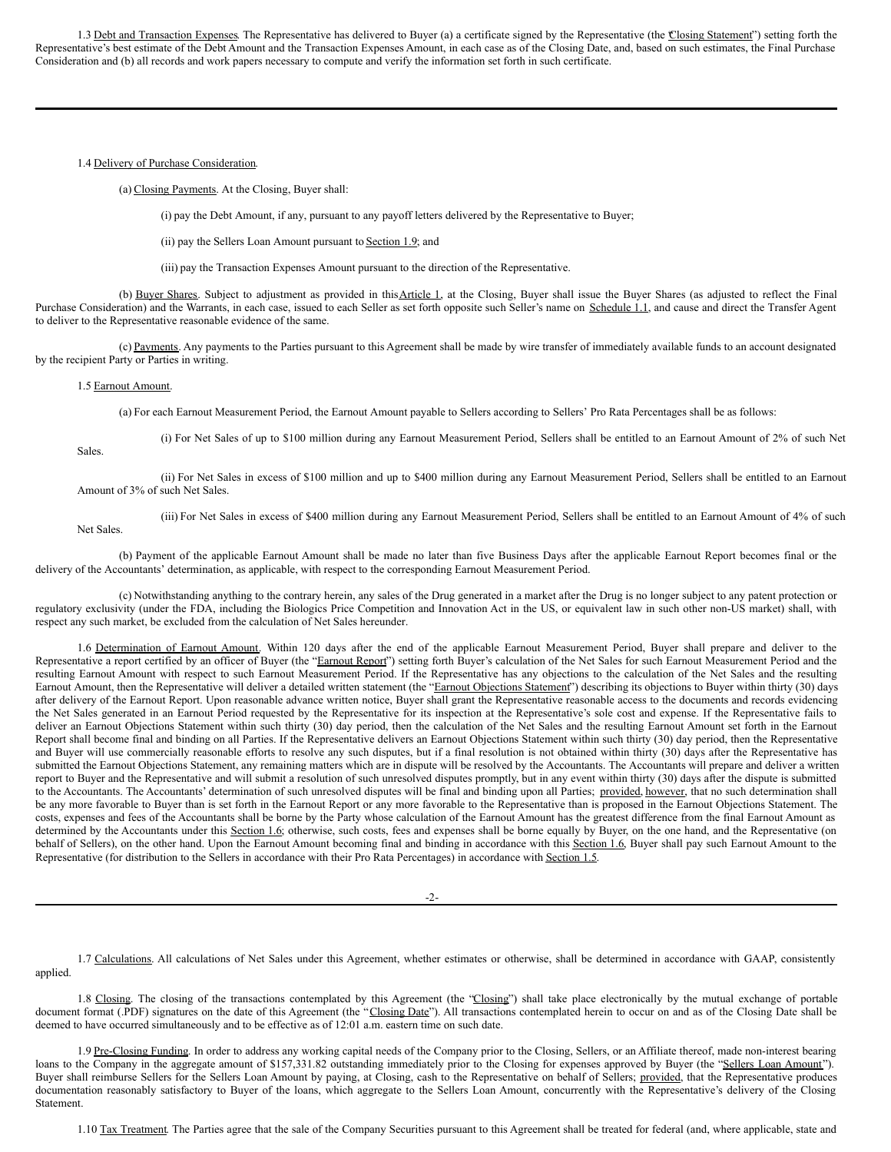1.3 Debt and Transaction Expenses. The Representative has delivered to Buyer (a) a certificate signed by the Representative (the Closing Statement") setting forth the Representative's best estimate of the Debt Amount and the Transaction Expenses Amount, in each case as of the Closing Date, and, based on such estimates, the Final Purchase Consideration and (b) all records and work papers necessary to compute and verify the information set forth in such certificate.

#### 1.4 Delivery of Purchase Consideration.

(a) Closing Payments. At the Closing, Buyer shall:

(i) pay the Debt Amount, if any, pursuant to any payoff letters delivered by the Representative to Buyer;

(ii) pay the Sellers Loan Amount pursuant to Section 1.9; and

(iii) pay the Transaction Expenses Amount pursuant to the direction of the Representative.

(b) Buyer Shares. Subject to adjustment as provided in this Article 1, at the Closing, Buyer shall issue the Buyer Shares (as adjusted to reflect the Final Purchase Consideration) and the Warrants, in each case, issued to each Seller as set forth opposite such Seller's name on Schedule 1.1, and cause and direct the Transfer Agent to deliver to the Representative reasonable evidence of the same.

(c) Payments. Any payments to the Parties pursuant to this Agreement shall be made by wire transfer of immediately available funds to an account designated by the recipient Party or Parties in writing.

#### 1.5 Earnout Amount.

(a) For each Earnout Measurement Period, the Earnout Amount payable to Sellers according to Sellers' Pro Rata Percentages shall be as follows:

Sales.

Net Sales.

(i) For Net Sales of up to \$100 million during any Earnout Measurement Period, Sellers shall be entitled to an Earnout Amount of 2% of such Net

(ii) For Net Sales in excess of \$100 million and up to \$400 million during any Earnout Measurement Period, Sellers shall be entitled to an Earnout Amount of 3% of such Net Sales.

(iii) For Net Sales in excess of \$400 million during any Earnout Measurement Period, Sellers shall be entitled to an Earnout Amount of 4% of such

(b) Payment of the applicable Earnout Amount shall be made no later than five Business Days after the applicable Earnout Report becomes final or the delivery of the Accountants' determination, as applicable, with respect to the corresponding Earnout Measurement Period.

(c) Notwithstanding anything to the contrary herein, any sales of the Drug generated in a market after the Drug is no longer subject to any patent protection or regulatory exclusivity (under the FDA, including the Biologics Price Competition and Innovation Act in the US, or equivalent law in such other non-US market) shall, with respect any such market, be excluded from the calculation of Net Sales hereunder.

1.6 Determination of Earnout Amount. Within 120 days after the end of the applicable Earnout Measurement Period, Buyer shall prepare and deliver to the Representative a report certified by an officer of Buyer (the "Earnout Report") setting forth Buyer's calculation of the Net Sales for such Earnout Measurement Period and the resulting Earnout Amount with respect to such Earnout Measurement Period. If the Representative has any objections to the calculation of the Net Sales and the resulting Earnout Amount, then the Representative will deliver a detailed written statement (the "Earnout Objections Statement") describing its objections to Buyer within thirty (30) days after delivery of the Earnout Report. Upon reasonable advance written notice, Buyer shall grant the Representative reasonable access to the documents and records evidencing the Net Sales generated in an Earnout Period requested by the Representative for its inspection at the Representative's sole cost and expense. If the Representative fails to deliver an Earnout Objections Statement within such thirty (30) day period, then the calculation of the Net Sales and the resulting Earnout Amount set forth in the Earnout Report shall become final and binding on all Parties. If the Representative delivers an Earnout Objections Statement within such thirty (30) day period, then the Representative and Buyer will use commercially reasonable efforts to resolve any such disputes, but if a final resolution is not obtained within thirty (30) days after the Representative has submitted the Earnout Objections Statement, any remaining matters which are in dispute will be resolved by the Accountants. The Accountants will prepare and deliver a written report to Buyer and the Representative and will submit a resolution of such unresolved disputes promptly, but in any event within thirty (30) days after the dispute is submitted to the Accountants. The Accountants' determination of such unresolved disputes will be final and binding upon all Parties; provided, however, that no such determination shall be any more favorable to Buyer than is set forth in the Earnout Report or any more favorable to the Representative than is proposed in the Earnout Objections Statement. The costs, expenses and fees of the Accountants shall be borne by the Party whose calculation of the Earnout Amount has the greatest difference from the final Earnout Amount as determined by the Accountants under this Section 1.6; otherwise, such costs, fees and expenses shall be borne equally by Buyer, on the one hand, and the Representative (on behalf of Sellers), on the other hand. Upon the Earnout Amount becoming final and binding in accordance with this Section 1.6, Buyer shall pay such Earnout Amount to the Representative (for distribution to the Sellers in accordance with their Pro Rata Percentages) in accordance with Section 1.5.

-2-

1.7 Calculations. All calculations of Net Sales under this Agreement, whether estimates or otherwise, shall be determined in accordance with GAAP, consistently applied.

1.8 Closing. The closing of the transactions contemplated by this Agreement (the "Closing") shall take place electronically by the mutual exchange of portable document format (.PDF) signatures on the date of this Agreement (the "Closing Date"). All transactions contemplated herein to occur on and as of the Closing Date shall be deemed to have occurred simultaneously and to be effective as of 12:01 a.m. eastern time on such date.

1.9 Pre-Closing Funding. In order to address any working capital needs of the Company prior to the Closing, Sellers, or an Affiliate thereof, made non-interest bearing loans to the Company in the aggregate amount of \$157,331.82 outstanding immediately prior to the Closing for expenses approved by Buyer (the "Sellers Loan Amount"). Buyer shall reimburse Sellers for the Sellers Loan Amount by paying, at Closing, cash to the Representative on behalf of Sellers; provided, that the Representative produces documentation reasonably satisfactory to Buyer of the loans, which aggregate to the Sellers Loan Amount, concurrently with the Representative's delivery of the Closing **Statement** 

1.10 Tax Treatment. The Parties agree that the sale of the Company Securities pursuant to this Agreement shall be treated for federal (and, where applicable, state and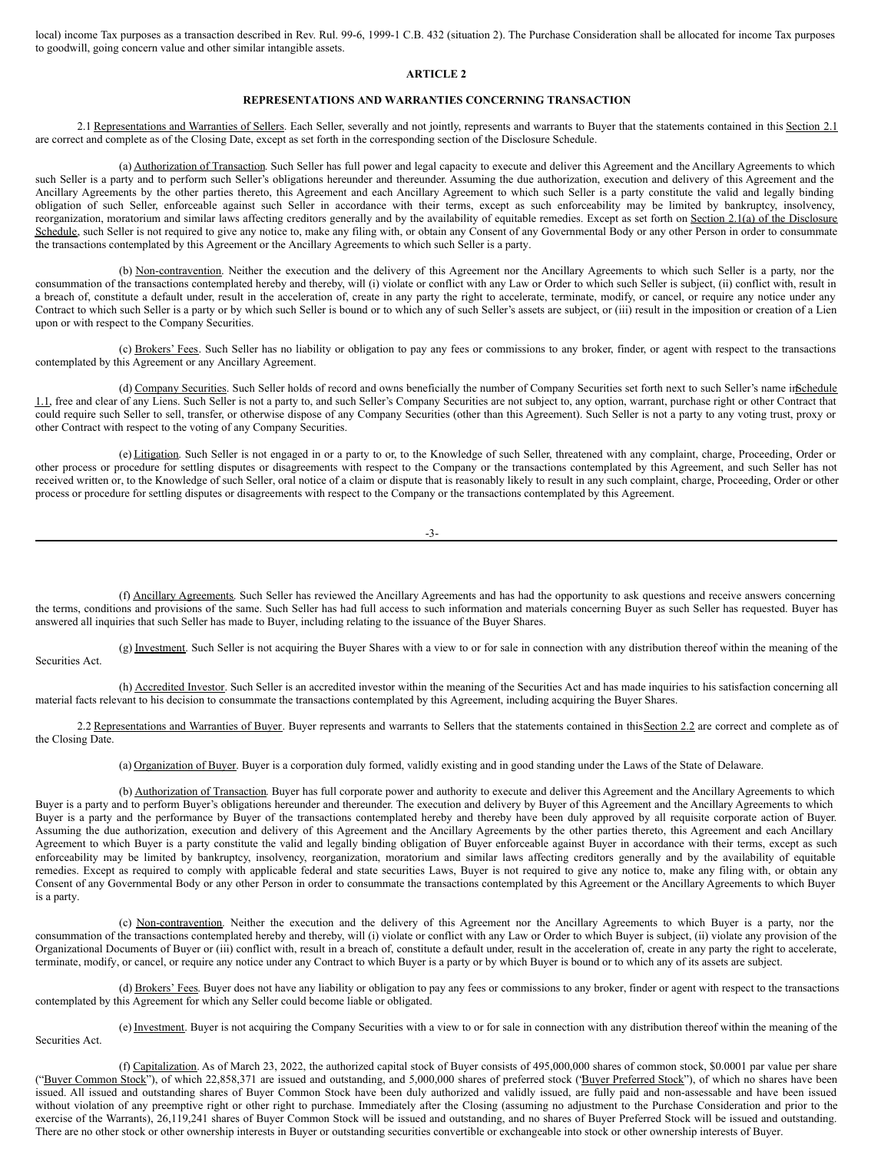local) income Tax purposes as a transaction described in Rev. Rul. 99-6, 1999-1 C.B. 432 (situation 2). The Purchase Consideration shall be allocated for income Tax purposes to goodwill, going concern value and other similar intangible assets.

## **ARTICLE 2**

# **REPRESENTATIONS AND WARRANTIES CONCERNING TRANSACTION**

2.1 Representations and Warranties of Sellers. Each Seller, severally and not jointly, represents and warrants to Buyer that the statements contained in this Section 2.1 are correct and complete as of the Closing Date, except as set forth in the corresponding section of the Disclosure Schedule.

(a) Authorization of Transaction. Such Seller has full power and legal capacity to execute and deliver this Agreement and the Ancillary Agreements to which such Seller is a party and to perform such Seller's obligations hereunder and thereunder. Assuming the due authorization, execution and delivery of this Agreement and the Ancillary Agreements by the other parties thereto, this Agreement and each Ancillary Agreement to which such Seller is a party constitute the valid and legally binding obligation of such Seller, enforceable against such Seller in accordance with their terms, except as such enforceability may be limited by bankruptcy, insolvency, reorganization, moratorium and similar laws affecting creditors generally and by the availability of equitable remedies. Except as set forth on Section 2.1(a) of the Disclosure Schedule, such Seller is not required to give any notice to, make any filing with, or obtain any Consent of any Governmental Body or any other Person in order to consummate the transactions contemplated by this Agreement or the Ancillary Agreements to which such Seller is a party.

(b) Non-contravention. Neither the execution and the delivery of this Agreement nor the Ancillary Agreements to which such Seller is a party, nor the consummation of the transactions contemplated hereby and thereby, will (i) violate or conflict with any Law or Order to which such Seller is subject, (ii) conflict with, result in a breach of, constitute a default under, result in the acceleration of, create in any party the right to accelerate, terminate, modify, or cancel, or require any notice under any Contract to which such Seller is a party or by which such Seller is bound or to which any of such Seller's assets are subject, or (iii) result in the imposition or creation of a Lien upon or with respect to the Company Securities.

(c) Brokers' Fees. Such Seller has no liability or obligation to pay any fees or commissions to any broker, finder, or agent with respect to the transactions contemplated by this Agreement or any Ancillary Agreement.

(d) Company Securities. Such Seller holds of record and owns beneficially the number of Company Securities set forth next to such Seller's name inSchedule 1.1, free and clear of any Liens. Such Seller is not a party to, and such Seller's Company Securities are not subject to, any option, warrant, purchase right or other Contract that could require such Seller to sell, transfer, or otherwise dispose of any Company Securities (other than this Agreement). Such Seller is not a party to any voting trust, proxy or other Contract with respect to the voting of any Company Securities.

(e) Litigation. Such Seller is not engaged in or a party to or, to the Knowledge of such Seller, threatened with any complaint, charge, Proceeding, Order or other process or procedure for settling disputes or disagreements with respect to the Company or the transactions contemplated by this Agreement, and such Seller has not received written or, to the Knowledge of such Seller, oral notice of a claim or dispute that is reasonably likely to result in any such complaint, charge, Proceeding, Order or other process or procedure for settling disputes or disagreements with respect to the Company or the transactions contemplated by this Agreement.

| _<br>_<br>۰,<br>I<br>$\sim$ |
|-----------------------------|
|-----------------------------|

(f) Ancillary Agreements. Such Seller has reviewed the Ancillary Agreements and has had the opportunity to ask questions and receive answers concerning the terms, conditions and provisions of the same. Such Seller has had full access to such information and materials concerning Buyer as such Seller has requested. Buyer has answered all inquiries that such Seller has made to Buyer, including relating to the issuance of the Buyer Shares.

(g) Investment. Such Seller is not acquiring the Buyer Shares with a view to or for sale in connection with any distribution thereof within the meaning of the Securities Act.

(h) Accredited Investor. Such Seller is an accredited investor within the meaning of the Securities Act and has made inquiries to his satisfaction concerning all material facts relevant to his decision to consummate the transactions contemplated by this Agreement, including acquiring the Buyer Shares.

2.2 Representations and Warranties of Buyer. Buyer represents and warrants to Sellers that the statements contained in this Section 2.2 are correct and complete as of the Closing Date.

(a) Organization of Buyer. Buyer is a corporation duly formed, validly existing and in good standing under the Laws of the State of Delaware.

(b) Authorization of Transaction. Buyer has full corporate power and authority to execute and deliver this Agreement and the Ancillary Agreements to which Buyer is a party and to perform Buyer's obligations hereunder and thereunder. The execution and delivery by Buyer of this Agreement and the Ancillary Agreements to which Buyer is a party and the performance by Buyer of the transactions contemplated hereby and thereby have been duly approved by all requisite corporate action of Buyer. Assuming the due authorization, execution and delivery of this Agreement and the Ancillary Agreements by the other parties thereto, this Agreement and each Ancillary Agreement to which Buyer is a party constitute the valid and legally binding obligation of Buyer enforceable against Buyer in accordance with their terms, except as such enforceability may be limited by bankruptcy, insolvency, reorganization, moratorium and similar laws affecting creditors generally and by the availability of equitable remedies. Except as required to comply with applicable federal and state securities Laws, Buyer is not required to give any notice to, make any filing with, or obtain any Consent of any Governmental Body or any other Person in order to consummate the transactions contemplated by this Agreement or the Ancillary Agreements to which Buyer is a party.

(c) Non-contravention. Neither the execution and the delivery of this Agreement nor the Ancillary Agreements to which Buyer is a party, nor the consummation of the transactions contemplated hereby and thereby, will (i) violate or conflict with any Law or Order to which Buyer is subject, (ii) violate any provision of the Organizational Documents of Buyer or (iii) conflict with, result in a breach of, constitute a default under, result in the acceleration of, create in any party the right to accelerate, terminate, modify, or cancel, or require any notice under any Contract to which Buyer is a party or by which Buyer is bound or to which any of its assets are subject.

(d) Brokers' Fees. Buyer does not have any liability or obligation to pay any fees or commissions to any broker, finder or agent with respect to the transactions contemplated by this Agreement for which any Seller could become liable or obligated.

(e) Investment. Buyer is not acquiring the Company Securities with a view to or for sale in connection with any distribution thereof within the meaning of the

Securities Act.

(f) Capitalization. As of March 23, 2022, the authorized capital stock of Buyer consists of 495,000,000 shares of common stock, \$0.0001 par value per share ("Buyer Common Stock"), of which 22,858,371 are issued and outstanding, and 5,000,000 shares of preferred stock ('Buyer Preferred Stock"), of which no shares have been issued. All issued and outstanding shares of Buyer Common Stock have been duly authorized and validly issued, are fully paid and non-assessable and have been issued without violation of any preemptive right or other right to purchase. Immediately after the Closing (assuming no adjustment to the Purchase Consideration and prior to the exercise of the Warrants), 26,119,241 shares of Buyer Common Stock will be issued and outstanding, and no shares of Buyer Preferred Stock will be issued and outstanding. There are no other stock or other ownership interests in Buyer or outstanding securities convertible or exchangeable into stock or other ownership interests of Buyer.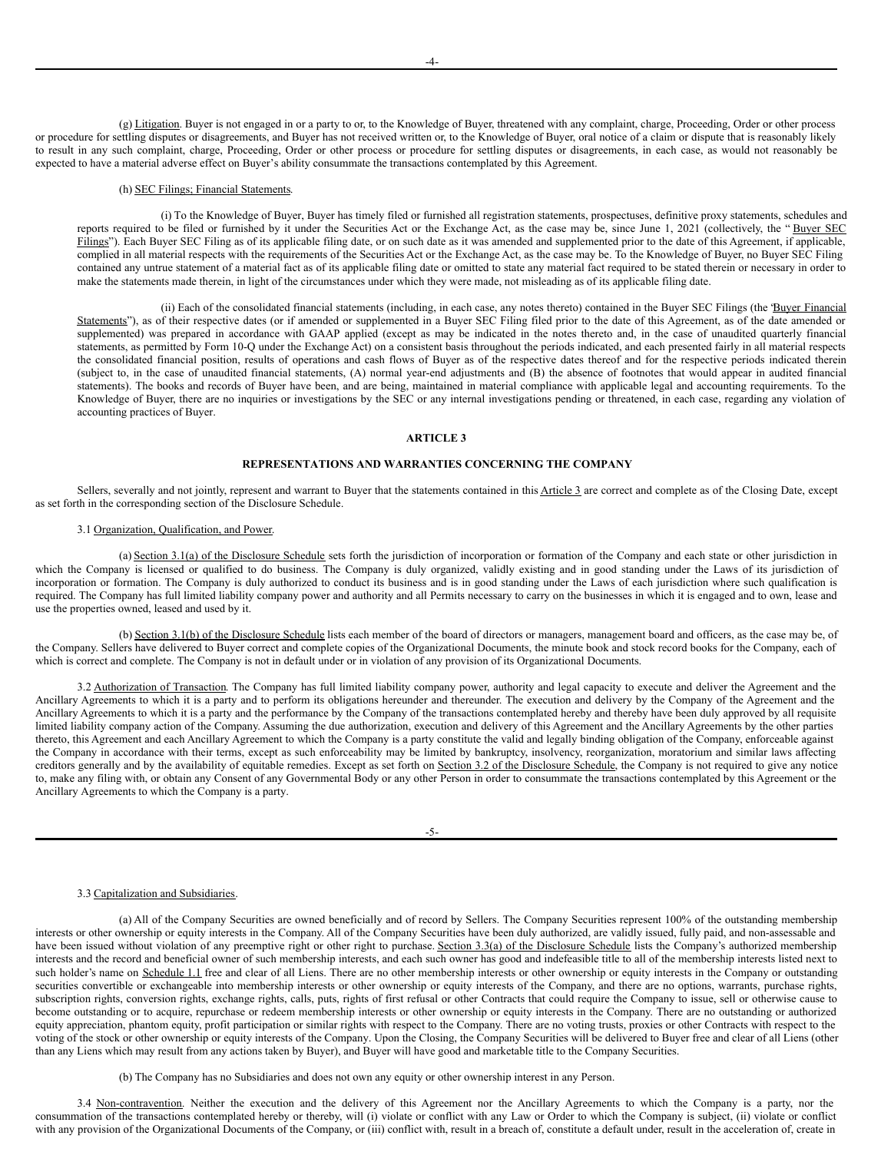(g) Litigation. Buyer is not engaged in or a party to or, to the Knowledge of Buyer, threatened with any complaint, charge, Proceeding, Order or other process or procedure for settling disputes or disagreements, and Buyer has not received written or, to the Knowledge of Buyer, oral notice of a claim or dispute that is reasonably likely to result in any such complaint, charge, Proceeding, Order or other process or procedure for settling disputes or disagreements, in each case, as would not reasonably be expected to have a material adverse effect on Buyer's ability consummate the transactions contemplated by this Agreement.

# (h) SEC Filings; Financial Statements.

(i) To the Knowledge of Buyer, Buyer has timely filed or furnished all registration statements, prospectuses, definitive proxy statements, schedules and reports required to be filed or furnished by it under the Securities Act or the Exchange Act, as the case may be, since June 1, 2021 (collectively, the "Buyer SEC Filings"). Each Buyer SEC Filing as of its applicable filing date, or on such date as it was amended and supplemented prior to the date of this Agreement, if applicable, complied in all material respects with the requirements of the Securities Act or the Exchange Act, as the case may be. To the Knowledge of Buyer, no Buyer SEC Filing contained any untrue statement of a material fact as of its applicable filing date or omitted to state any material fact required to be stated therein or necessary in order to make the statements made therein, in light of the circumstances under which they were made, not misleading as of its applicable filing date.

(ii) Each of the consolidated financial statements (including, in each case, any notes thereto) contained in the Buyer SEC Filings (the "Buyer Financial Statements"), as of their respective dates (or if amended or supplemented in a Buyer SEC Filing filed prior to the date of this Agreement, as of the date amended or supplemented) was prepared in accordance with GAAP applied (except as may be indicated in the notes thereto and, in the case of unaudited quarterly financial statements, as permitted by Form 10-Q under the Exchange Act) on a consistent basis throughout the periods indicated, and each presented fairly in all material respects the consolidated financial position, results of operations and cash flows of Buyer as of the respective dates thereof and for the respective periods indicated therein (subject to, in the case of unaudited financial statements, (A) normal year-end adjustments and (B) the absence of footnotes that would appear in audited financial statements). The books and records of Buyer have been, and are being, maintained in material compliance with applicable legal and accounting requirements. To the Knowledge of Buyer, there are no inquiries or investigations by the SEC or any internal investigations pending or threatened, in each case, regarding any violation of accounting practices of Buyer.

# **ARTICLE 3**

# **REPRESENTATIONS AND WARRANTIES CONCERNING THE COMPANY**

Sellers, severally and not jointly, represent and warrant to Buyer that the statements contained in this Article 3 are correct and complete as of the Closing Date, except as set forth in the corresponding section of the Disclosure Schedule.

# 3.1 Organization, Qualification, and Power.

(a) Section 3.1(a) of the Disclosure Schedule sets forth the jurisdiction of incorporation or formation of the Company and each state or other jurisdiction in which the Company is licensed or qualified to do business. The Company is duly organized, validly existing and in good standing under the Laws of its jurisdiction of incorporation or formation. The Company is duly authorized to conduct its business and is in good standing under the Laws of each jurisdiction where such qualification is required. The Company has full limited liability company power and authority and all Permits necessary to carry on the businesses in which it is engaged and to own, lease and use the properties owned, leased and used by it.

(b) Section 3.1(b) of the Disclosure Schedule lists each member of the board of directors or managers, management board and officers, as the case may be, of the Company. Sellers have delivered to Buyer correct and complete copies of the Organizational Documents, the minute book and stock record books for the Company, each of which is correct and complete. The Company is not in default under or in violation of any provision of its Organizational Documents.

3.2 Authorization of Transaction. The Company has full limited liability company power, authority and legal capacity to execute and deliver the Agreement and the Ancillary Agreements to which it is a party and to perform its obligations hereunder and thereunder. The execution and delivery by the Company of the Agreement and the Ancillary Agreements to which it is a party and the performance by the Company of the transactions contemplated hereby and thereby have been duly approved by all requisite limited liability company action of the Company. Assuming the due authorization, execution and delivery of this Agreement and the Ancillary Agreements by the other parties thereto, this Agreement and each Ancillary Agreement to which the Company is a party constitute the valid and legally binding obligation of the Company, enforceable against the Company in accordance with their terms, except as such enforceability may be limited by bankruptcy, insolvency, reorganization, moratorium and similar laws affecting creditors generally and by the availability of equitable remedies. Except as set forth on Section 3.2 of the Disclosure Schedule, the Company is not required to give any notice to, make any filing with, or obtain any Consent of any Governmental Body or any other Person in order to consummate the transactions contemplated by this Agreement or the Ancillary Agreements to which the Company is a party.

## 3.3 Capitalization and Subsidiaries.

(a) All of the Company Securities are owned beneficially and of record by Sellers. The Company Securities represent 100% of the outstanding membership interests or other ownership or equity interests in the Company. All of the Company Securities have been duly authorized, are validly issued, fully paid, and non-assessable and have been issued without violation of any preemptive right or other right to purchase. Section 3.3(a) of the Disclosure Schedule lists the Company's authorized membership interests and the record and beneficial owner of such membership interests, and each such owner has good and indefeasible title to all of the membership interests listed next to such holder's name on Schedule 1.1 free and clear of all Liens. There are no other membership interests or other ownership or equity interests in the Company or outstanding securities convertible or exchangeable into membership interests or other ownership or equity interests of the Company, and there are no options, warrants, purchase rights, subscription rights, conversion rights, exchange rights, calls, puts, rights of first refusal or other Contracts that could require the Company to issue, sell or otherwise cause to become outstanding or to acquire, repurchase or redeem membership interests or other ownership or equity interests in the Company. There are no outstanding or authorized equity appreciation, phantom equity, profit participation or similar rights with respect to the Company. There are no voting trusts, proxies or other Contracts with respect to the voting of the stock or other ownership or equity interests of the Company. Upon the Closing, the Company Securities will be delivered to Buyer free and clear of all Liens (other than any Liens which may result from any actions taken by Buyer), and Buyer will have good and marketable title to the Company Securities.

(b) The Company has no Subsidiaries and does not own any equity or other ownership interest in any Person.

3.4 Non-contravention. Neither the execution and the delivery of this Agreement nor the Ancillary Agreements to which the Company is a party, nor the consummation of the transactions contemplated hereby or thereby, will (i) violate or conflict with any Law or Order to which the Company is subject, (ii) violate or conflict with any provision of the Organizational Documents of the Company, or (iii) conflict with, result in a breach of, constitute a default under, result in the acceleration of, create in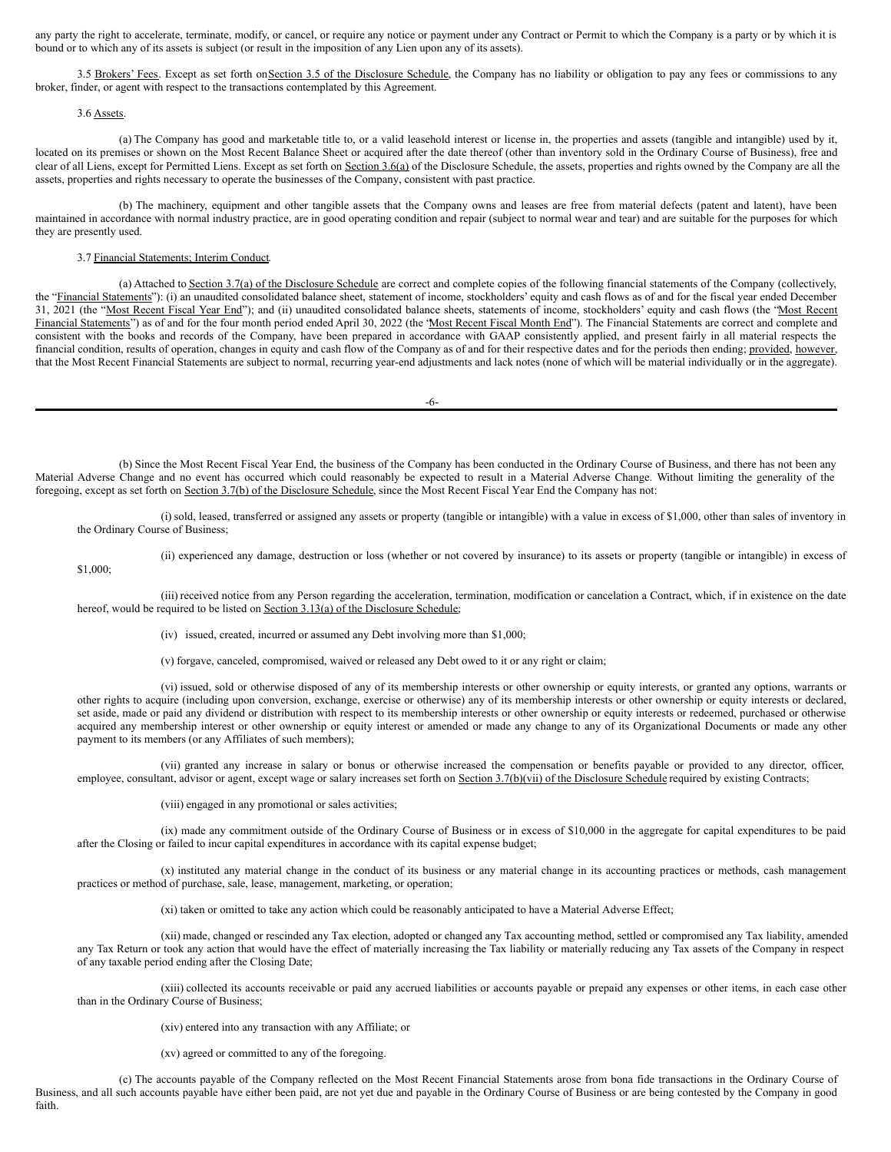any party the right to accelerate, terminate, modify, or cancel, or require any notice or payment under any Contract or Permit to which the Company is a party or by which it is bound or to which any of its assets is subject (or result in the imposition of any Lien upon any of its assets).

3.5 Brokers' Fees. Except as set forth on Section 3.5 of the Disclosure Schedule, the Company has no liability or obligation to pay any fees or commissions to any broker, finder, or agent with respect to the transactions contemplated by this Agreement.

## 3.6 Assets.

(a) The Company has good and marketable title to, or a valid leasehold interest or license in, the properties and assets (tangible and intangible) used by it, located on its premises or shown on the Most Recent Balance Sheet or acquired after the date thereof (other than inventory sold in the Ordinary Course of Business), free and clear of all Liens, except for Permitted Liens. Except as set forth on Section 3.6(a) of the Disclosure Schedule, the assets, properties and rights owned by the Company are all the assets, properties and rights necessary to operate the businesses of the Company, consistent with past practice.

(b) The machinery, equipment and other tangible assets that the Company owns and leases are free from material defects (patent and latent), have been maintained in accordance with normal industry practice, are in good operating condition and repair (subject to normal wear and tear) and are suitable for the purposes for which they are presently used.

# 3.7 Financial Statements; Interim Conduct.

(a) Attached to Section 3.7(a) of the Disclosure Schedule are correct and complete copies of the following financial statements of the Company (collectively, the "Financial Statements"): (i) an unaudited consolidated balance sheet, statement of income, stockholders' equity and cash flows as of and for the fiscal year ended December 31, 2021 (the "Most Recent Fiscal Year End"); and (ii) unaudited consolidated balance sheets, statements of income, stockholders' equity and cash flows (the "Most Recent Financial Statements") as of and for the four month period ended April 30, 2022 (the 'Most Recent Fiscal Month End"). The Financial Statements are correct and complete and consistent with the books and records of the Company, have been prepared in accordance with GAAP consistently applied, and present fairly in all material respects the financial condition, results of operation, changes in equity and cash flow of the Company as of and for their respective dates and for the periods then ending; provided, however, that the Most Recent Financial Statements are subject to normal, recurring year-end adjustments and lack notes (none of which will be material individually or in the aggregate).

-6-

(b) Since the Most Recent Fiscal Year End, the business of the Company has been conducted in the Ordinary Course of Business, and there has not been any Material Adverse Change and no event has occurred which could reasonably be expected to result in a Material Adverse Change. Without limiting the generality of the foregoing, except as set forth on Section 3.7(b) of the Disclosure Schedule, since the Most Recent Fiscal Year End the Company has not:

(i) sold, leased, transferred or assigned any assets or property (tangible or intangible) with a value in excess of \$1,000, other than sales of inventory in the Ordinary Course of Business;

\$1,000;

(ii) experienced any damage, destruction or loss (whether or not covered by insurance) to its assets or property (tangible or intangible) in excess of

(iii) received notice from any Person regarding the acceleration, termination, modification or cancelation a Contract, which, if in existence on the date hereof, would be required to be listed on Section 3.13(a) of the Disclosure Schedule;

(iv) issued, created, incurred or assumed any Debt involving more than \$1,000;

(v) forgave, canceled, compromised, waived or released any Debt owed to it or any right or claim;

(vi) issued, sold or otherwise disposed of any of its membership interests or other ownership or equity interests, or granted any options, warrants or other rights to acquire (including upon conversion, exchange, exercise or otherwise) any of its membership interests or other ownership or equity interests or declared, set aside, made or paid any dividend or distribution with respect to its membership interests or other ownership or equity interests or redeemed, purchased or otherwise acquired any membership interest or other ownership or equity interest or amended or made any change to any of its Organizational Documents or made any other payment to its members (or any Affiliates of such members);

(vii) granted any increase in salary or bonus or otherwise increased the compensation or benefits payable or provided to any director, officer, employee, consultant, advisor or agent, except wage or salary increases set forth on Section 3.7(b)(vii) of the Disclosure Schedule required by existing Contracts;

(viii) engaged in any promotional or sales activities;

(ix) made any commitment outside of the Ordinary Course of Business or in excess of \$10,000 in the aggregate for capital expenditures to be paid after the Closing or failed to incur capital expenditures in accordance with its capital expense budget;

(x) instituted any material change in the conduct of its business or any material change in its accounting practices or methods, cash management practices or method of purchase, sale, lease, management, marketing, or operation;

(xi) taken or omitted to take any action which could be reasonably anticipated to have a Material Adverse Effect;

(xii) made, changed or rescinded any Tax election, adopted or changed any Tax accounting method, settled or compromised any Tax liability, amended any Tax Return or took any action that would have the effect of materially increasing the Tax liability or materially reducing any Tax assets of the Company in respect of any taxable period ending after the Closing Date;

(xiii) collected its accounts receivable or paid any accrued liabilities or accounts payable or prepaid any expenses or other items, in each case other than in the Ordinary Course of Business;

(xiv) entered into any transaction with any Affiliate; or

(xv) agreed or committed to any of the foregoing.

(c) The accounts payable of the Company reflected on the Most Recent Financial Statements arose from bona fide transactions in the Ordinary Course of Business, and all such accounts payable have either been paid, are not yet due and payable in the Ordinary Course of Business or are being contested by the Company in good faith.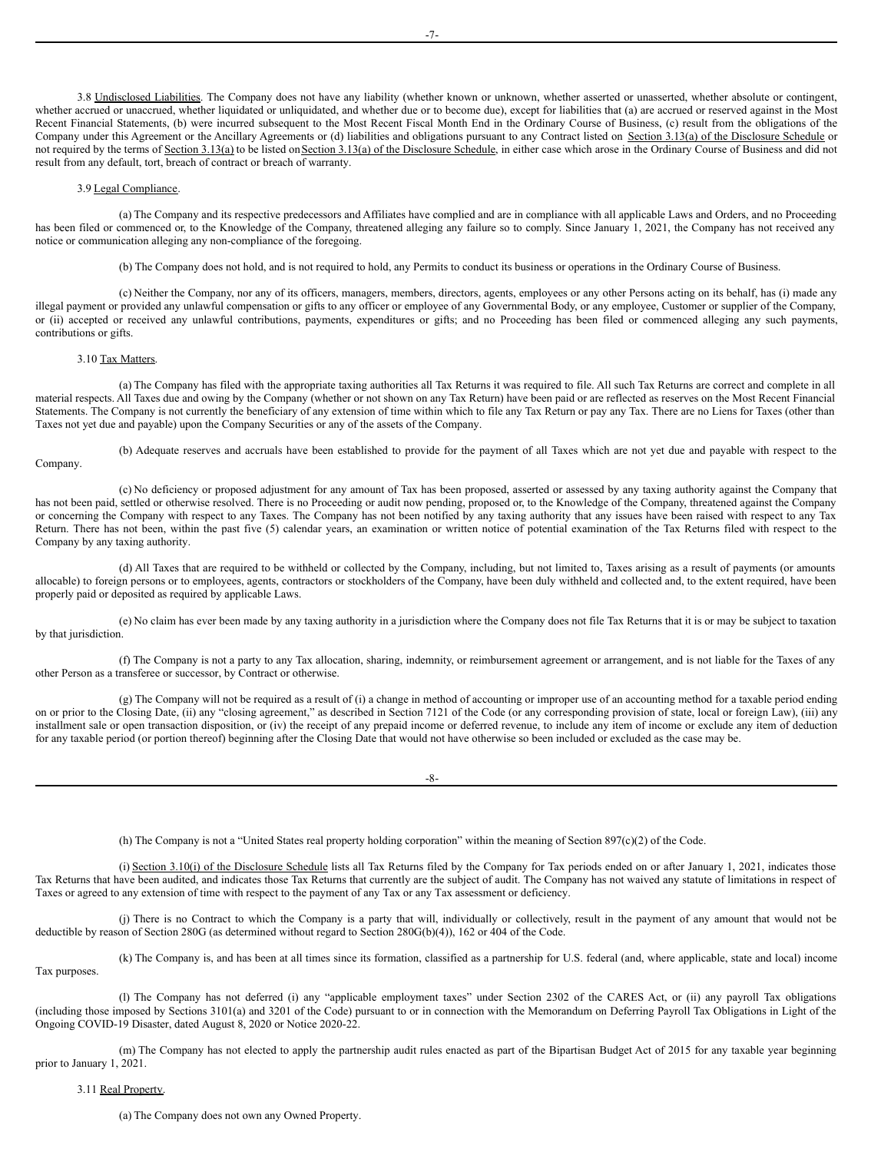3.8 Undisclosed Liabilities. The Company does not have any liability (whether known or unknown, whether asserted or unasserted, whether absolute or contingent, whether accrued or unaccrued, whether liquidated or unliquidated, and whether due or to become due), except for liabilities that (a) are accrued or reserved against in the Most Recent Financial Statements, (b) were incurred subsequent to the Most Recent Fiscal Month End in the Ordinary Course of Business, (c) result from the obligations of the Company under this Agreement or the Ancillary Agreements or (d) liabilities and obligations pursuant to any Contract listed on Section 3.13(a) of the Disclosure Schedule or not required by the terms of Section 3.13(a) to be listed on Section 3.13(a) of the Disclosure Schedule, in either case which arose in the Ordinary Course of Business and did not result from any default, tort, breach of contract or breach of warranty.

#### 3.9 Legal Compliance.

(a) The Company and its respective predecessors and Affiliates have complied and are in compliance with all applicable Laws and Orders, and no Proceeding has been filed or commenced or, to the Knowledge of the Company, threatened alleging any failure so to comply. Since January 1, 2021, the Company has not received any notice or communication alleging any non-compliance of the foregoing.

(b) The Company does not hold, and is not required to hold, any Permits to conduct its business or operations in the Ordinary Course of Business.

(c) Neither the Company, nor any of its officers, managers, members, directors, agents, employees or any other Persons acting on its behalf, has (i) made any illegal payment or provided any unlawful compensation or gifts to any officer or employee of any Governmental Body, or any employee, Customer or supplier of the Company, or (ii) accepted or received any unlawful contributions, payments, expenditures or gifts; and no Proceeding has been filed or commenced alleging any such payments, contributions or gifts.

# 3.10 Tax Matters.

Company.

(a) The Company has filed with the appropriate taxing authorities all Tax Returns it was required to file. All such Tax Returns are correct and complete in all material respects. All Taxes due and owing by the Company (whether or not shown on any Tax Return) have been paid or are reflected as reserves on the Most Recent Financial Statements. The Company is not currently the beneficiary of any extension of time within which to file any Tax Return or pay any Tax. There are no Liens for Taxes (other than Taxes not yet due and payable) upon the Company Securities or any of the assets of the Company.

(b) Adequate reserves and accruals have been established to provide for the payment of all Taxes which are not yet due and payable with respect to the

(c) No deficiency or proposed adjustment for any amount of Tax has been proposed, asserted or assessed by any taxing authority against the Company that has not been paid, settled or otherwise resolved. There is no Proceeding or audit now pending, proposed or, to the Knowledge of the Company, threatened against the Company or concerning the Company with respect to any Taxes. The Company has not been notified by any taxing authority that any issues have been raised with respect to any Tax Return. There has not been, within the past five (5) calendar years, an examination or written notice of potential examination of the Tax Returns filed with respect to the Company by any taxing authority.

(d) All Taxes that are required to be withheld or collected by the Company, including, but not limited to, Taxes arising as a result of payments (or amounts allocable) to foreign persons or to employees, agents, contractors or stockholders of the Company, have been duly withheld and collected and, to the extent required, have been properly paid or deposited as required by applicable Laws.

(e) No claim has ever been made by any taxing authority in a jurisdiction where the Company does not file Tax Returns that it is or may be subject to taxation by that jurisdiction.

(f) The Company is not a party to any Tax allocation, sharing, indemnity, or reimbursement agreement or arrangement, and is not liable for the Taxes of any other Person as a transferee or successor, by Contract or otherwise.

 $(g)$  The Company will not be required as a result of (i) a change in method of accounting or improper use of an accounting method for a taxable period ending on or prior to the Closing Date, (ii) any "closing agreement," as described in Section 7121 of the Code (or any corresponding provision of state, local or foreign Law), (iii) any installment sale or open transaction disposition, or (iv) the receipt of any prepaid income or deferred revenue, to include any item of income or exclude any item of deduction for any taxable period (or portion thereof) beginning after the Closing Date that would not have otherwise so been included or excluded as the case may be.

 $-8-$ 

(h) The Company is not a "United States real property holding corporation" within the meaning of Section 897(c)(2) of the Code.

(i) Section 3.10(i) of the Disclosure Schedule lists all Tax Returns filed by the Company for Tax periods ended on or after January 1, 2021, indicates those Tax Returns that have been audited, and indicates those Tax Returns that currently are the subject of audit. The Company has not waived any statute of limitations in respect of Taxes or agreed to any extension of time with respect to the payment of any Tax or any Tax assessment or deficiency.

(j) There is no Contract to which the Company is a party that will, individually or collectively, result in the payment of any amount that would not be deductible by reason of Section 280G (as determined without regard to Section 280G(b)(4)), 162 or 404 of the Code.

(k) The Company is, and has been at all times since its formation, classified as a partnership for U.S. federal (and, where applicable, state and local) income Tax purposes.

(l) The Company has not deferred (i) any "applicable employment taxes" under Section 2302 of the CARES Act, or (ii) any payroll Tax obligations (including those imposed by Sections 3101(a) and 3201 of the Code) pursuant to or in connection with the Memorandum on Deferring Payroll Tax Obligations in Light of the Ongoing COVID-19 Disaster, dated August 8, 2020 or Notice 2020-22.

(m) The Company has not elected to apply the partnership audit rules enacted as part of the Bipartisan Budget Act of 2015 for any taxable year beginning prior to January 1, 2021.

3.11 Real Property.

(a) The Company does not own any Owned Property.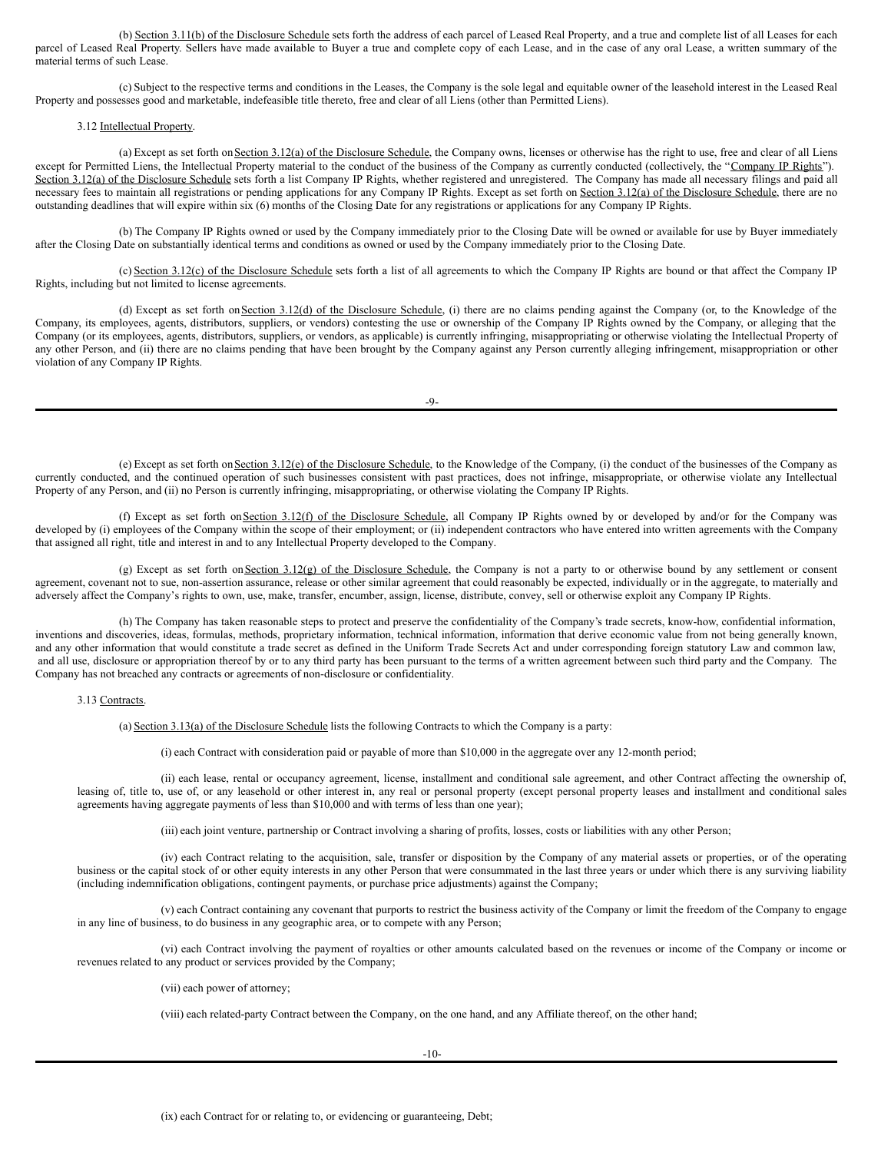(b) Section 3.11(b) of the Disclosure Schedule sets forth the address of each parcel of Leased Real Property, and a true and complete list of all Leases for each parcel of Leased Real Property. Sellers have made available to Buyer a true and complete copy of each Lease, and in the case of any oral Lease, a written summary of the material terms of such Lease.

(c) Subject to the respective terms and conditions in the Leases, the Company is the sole legal and equitable owner of the leasehold interest in the Leased Real Property and possesses good and marketable, indefeasible title thereto, free and clear of all Liens (other than Permitted Liens).

# 3.12 Intellectual Property.

(a) Except as set forth on Section 3.12(a) of the Disclosure Schedule, the Company owns, licenses or otherwise has the right to use, free and clear of all Liens except for Permitted Liens, the Intellectual Property material to the conduct of the business of the Company as currently conducted (collectively, the "Company IP Rights"). Section 3.12(a) of the Disclosure Schedule sets forth a list Company IP Rights, whether registered and unregistered. The Company has made all necessary filings and paid all necessary fees to maintain all registrations or pending applications for any Company IP Rights. Except as set forth on Section 3.12(a) of the Disclosure Schedule, there are no outstanding deadlines that will expire within six (6) months of the Closing Date for any registrations or applications for any Company IP Rights.

(b) The Company IP Rights owned or used by the Company immediately prior to the Closing Date will be owned or available for use by Buyer immediately after the Closing Date on substantially identical terms and conditions as owned or used by the Company immediately prior to the Closing Date.

(c) Section 3.12(c) of the Disclosure Schedule sets forth a list of all agreements to which the Company IP Rights are bound or that affect the Company IP Rights, including but not limited to license agreements.

(d) Except as set forth on Section 3.12(d) of the Disclosure Schedule, (i) there are no claims pending against the Company (or, to the Knowledge of the Company, its employees, agents, distributors, suppliers, or vendors) contesting the use or ownership of the Company IP Rights owned by the Company, or alleging that the Company (or its employees, agents, distributors, suppliers, or vendors, as applicable) is currently infringing, misappropriating or otherwise violating the Intellectual Property of any other Person, and (ii) there are no claims pending that have been brought by the Company against any Person currently alleging infringement, misappropriation or other violation of any Company IP Rights.

 $-9-$ 

(e) Except as set forth onSection 3.12(e) of the Disclosure Schedule, to the Knowledge of the Company, (i) the conduct of the businesses of the Company as currently conducted, and the continued operation of such businesses consistent with past practices, does not infringe, misappropriate, or otherwise violate any Intellectual Property of any Person, and (ii) no Person is currently infringing, misappropriating, or otherwise violating the Company IP Rights.

(f) Except as set forth on Section 3.12(f) of the Disclosure Schedule, all Company IP Rights owned by or developed by and/or for the Company was developed by (i) employees of the Company within the scope of their employment; or (ii) independent contractors who have entered into written agreements with the Company that assigned all right, title and interest in and to any Intellectual Property developed to the Company.

(g) Except as set forth on Section 3.12(g) of the Disclosure Schedule, the Company is not a party to or otherwise bound by any settlement or consent agreement, covenant not to sue, non-assertion assurance, release or other similar agreement that could reasonably be expected, individually or in the aggregate, to materially and adversely affect the Company's rights to own, use, make, transfer, encumber, assign, license, distribute, convey, sell or otherwise exploit any Company IP Rights.

(h) The Company has taken reasonable steps to protect and preserve the confidentiality of the Company's trade secrets, know-how, confidential information, inventions and discoveries, ideas, formulas, methods, proprietary information, technical information, information that derive economic value from not being generally known, and any other information that would constitute a trade secret as defined in the Uniform Trade Secrets Act and under corresponding foreign statutory Law and common law, and all use, disclosure or appropriation thereof by or to any third party has been pursuant to the terms of a written agreement between such third party and the Company. The Company has not breached any contracts or agreements of non-disclosure or confidentiality.

#### 3.13 Contracts.

(a) Section 3.13(a) of the Disclosure Schedule lists the following Contracts to which the Company is a party:

(i) each Contract with consideration paid or payable of more than \$10,000 in the aggregate over any 12-month period;

(ii) each lease, rental or occupancy agreement, license, installment and conditional sale agreement, and other Contract affecting the ownership of, leasing of, title to, use of, or any leasehold or other interest in, any real or personal property (except personal property leases and installment and conditional sales agreements having aggregate payments of less than \$10,000 and with terms of less than one year);

(iii) each joint venture, partnership or Contract involving a sharing of profits, losses, costs or liabilities with any other Person;

(iv) each Contract relating to the acquisition, sale, transfer or disposition by the Company of any material assets or properties, or of the operating business or the capital stock of or other equity interests in any other Person that were consummated in the last three years or under which there is any surviving liability (including indemnification obligations, contingent payments, or purchase price adjustments) against the Company;

(v) each Contract containing any covenant that purports to restrict the business activity of the Company or limit the freedom of the Company to engage in any line of business, to do business in any geographic area, or to compete with any Person;

(vi) each Contract involving the payment of royalties or other amounts calculated based on the revenues or income of the Company or income or revenues related to any product or services provided by the Company;

(vii) each power of attorney;

(viii) each related-party Contract between the Company, on the one hand, and any Affiliate thereof, on the other hand;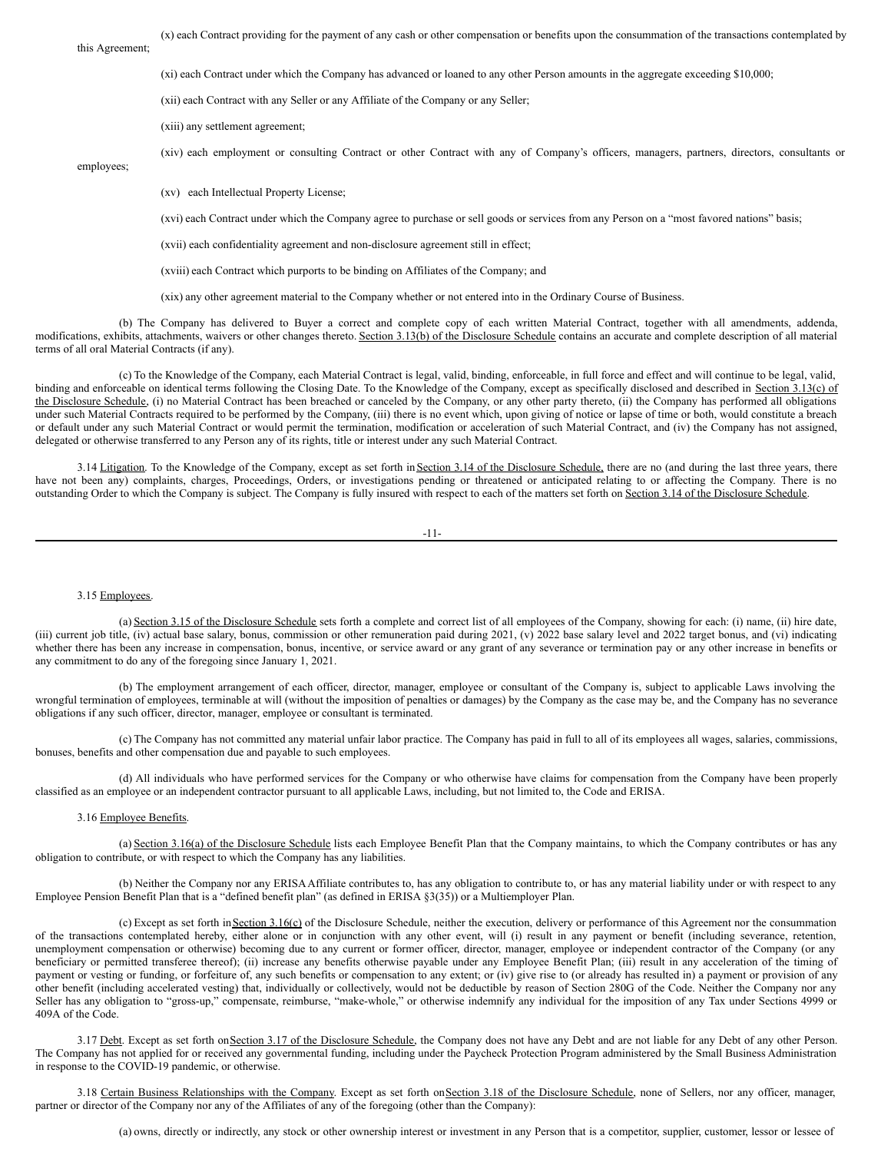(x) each Contract providing for the payment of any cash or other compensation or benefits upon the consummation of the transactions contemplated by

this Agreement;

(xi) each Contract under which the Company has advanced or loaned to any other Person amounts in the aggregate exceeding \$10,000;

(xii) each Contract with any Seller or any Affiliate of the Company or any Seller;

(xiii) any settlement agreement;

(xiv) each employment or consulting Contract or other Contract with any of Company's officers, managers, partners, directors, consultants or

employees;

(xv) each Intellectual Property License;

(xvi) each Contract under which the Company agree to purchase or sell goods or services from any Person on a "most favored nations" basis;

(xvii) each confidentiality agreement and non-disclosure agreement still in effect;

(xviii) each Contract which purports to be binding on Affiliates of the Company; and

(xix) any other agreement material to the Company whether or not entered into in the Ordinary Course of Business.

(b) The Company has delivered to Buyer a correct and complete copy of each written Material Contract, together with all amendments, addenda, modifications, exhibits, attachments, waivers or other changes thereto. Section 3.13(b) of the Disclosure Schedule contains an accurate and complete description of all material terms of all oral Material Contracts (if any).

(c) To the Knowledge of the Company, each Material Contract is legal, valid, binding, enforceable, in full force and effect and will continue to be legal, valid, binding and enforceable on identical terms following the Closing Date. To the Knowledge of the Company, except as specifically disclosed and described in Section 3.13(c) of the Disclosure Schedule, (i) no Material Contract has been breached or canceled by the Company, or any other party thereto, (ii) the Company has performed all obligations under such Material Contracts required to be performed by the Company, (iii) there is no event which, upon giving of notice or lapse of time or both, would constitute a breach or default under any such Material Contract or would permit the termination, modification or acceleration of such Material Contract, and (iv) the Company has not assigned, delegated or otherwise transferred to any Person any of its rights, title or interest under any such Material Contract.

3.14 Litigation. To the Knowledge of the Company, except as set forth in Section 3.14 of the Disclosure Schedule, there are no (and during the last three years, there have not been any) complaints, charges, Proceedings, Orders, or investigations pending or threatened or anticipated relating to or affecting the Company. There is no outstanding Order to which the Company is subject. The Company is fully insured with respect to each of the matters set forth on Section 3.14 of the Disclosure Schedule.

| _ |  | _ |
|---|--|---|
|   |  |   |

#### 3.15 Employees.

(a) Section 3.15 of the Disclosure Schedule sets forth a complete and correct list of all employees of the Company, showing for each: (i) name, (ii) hire date, (iii) current job title, (iv) actual base salary, bonus, commission or other remuneration paid during  $2021$ , (v)  $2022$  base salary level and  $2022$  target bonus, and (vi) indicating whether there has been any increase in compensation, bonus, incentive, or service award or any grant of any severance or termination pay or any other increase in benefits or any commitment to do any of the foregoing since January 1, 2021.

(b) The employment arrangement of each officer, director, manager, employee or consultant of the Company is, subject to applicable Laws involving the wrongful termination of employees, terminable at will (without the imposition of penalties or damages) by the Company as the case may be, and the Company has no severance obligations if any such officer, director, manager, employee or consultant is terminated.

(c) The Company has not committed any material unfair labor practice. The Company has paid in full to all of its employees all wages, salaries, commissions, bonuses, benefits and other compensation due and payable to such employees.

(d) All individuals who have performed services for the Company or who otherwise have claims for compensation from the Company have been properly classified as an employee or an independent contractor pursuant to all applicable Laws, including, but not limited to, the Code and ERISA.

#### 3.16 Employee Benefits.

(a) Section 3.16(a) of the Disclosure Schedule lists each Employee Benefit Plan that the Company maintains, to which the Company contributes or has any obligation to contribute, or with respect to which the Company has any liabilities.

(b) Neither the Company nor any ERISAAffiliate contributes to, has any obligation to contribute to, or has any material liability under or with respect to any Employee Pension Benefit Plan that is a "defined benefit plan" (as defined in ERISA §3(35)) or a Multiemployer Plan.

(c) Except as set forth in Section 3.16(c) of the Disclosure Schedule, neither the execution, delivery or performance of this Agreement nor the consummation of the transactions contemplated hereby, either alone or in conjunction with any other event, will (i) result in any payment or benefit (including severance, retention, unemployment compensation or otherwise) becoming due to any current or former officer, director, manager, employee or independent contractor of the Company (or any beneficiary or permitted transferee thereof); (ii) increase any benefits otherwise payable under any Employee Benefit Plan; (iii) result in any acceleration of the timing of payment or vesting or funding, or forfeiture of, any such benefits or compensation to any extent; or (iv) give rise to (or already has resulted in) a payment or provision of any other benefit (including accelerated vesting) that, individually or collectively, would not be deductible by reason of Section 280G of the Code. Neither the Company nor any Seller has any obligation to "gross-up," compensate, reimburse, "make-whole," or otherwise indemnify any individual for the imposition of any Tax under Sections 4999 or 409A of the Code.

3.17 Debt. Except as set forth on Section 3.17 of the Disclosure Schedule, the Company does not have any Debt and are not liable for any Debt of any other Person. The Company has not applied for or received any governmental funding, including under the Paycheck Protection Program administered by the Small Business Administration in response to the COVID-19 pandemic, or otherwise.

3.18 Certain Business Relationships with the Company. Except as set forth on Section 3.18 of the Disclosure Schedule, none of Sellers, nor any officer, manager, partner or director of the Company nor any of the Affiliates of any of the foregoing (other than the Company):

(a) owns, directly or indirectly, any stock or other ownership interest or investment in any Person that is a competitor, supplier, customer, lessor or lessee of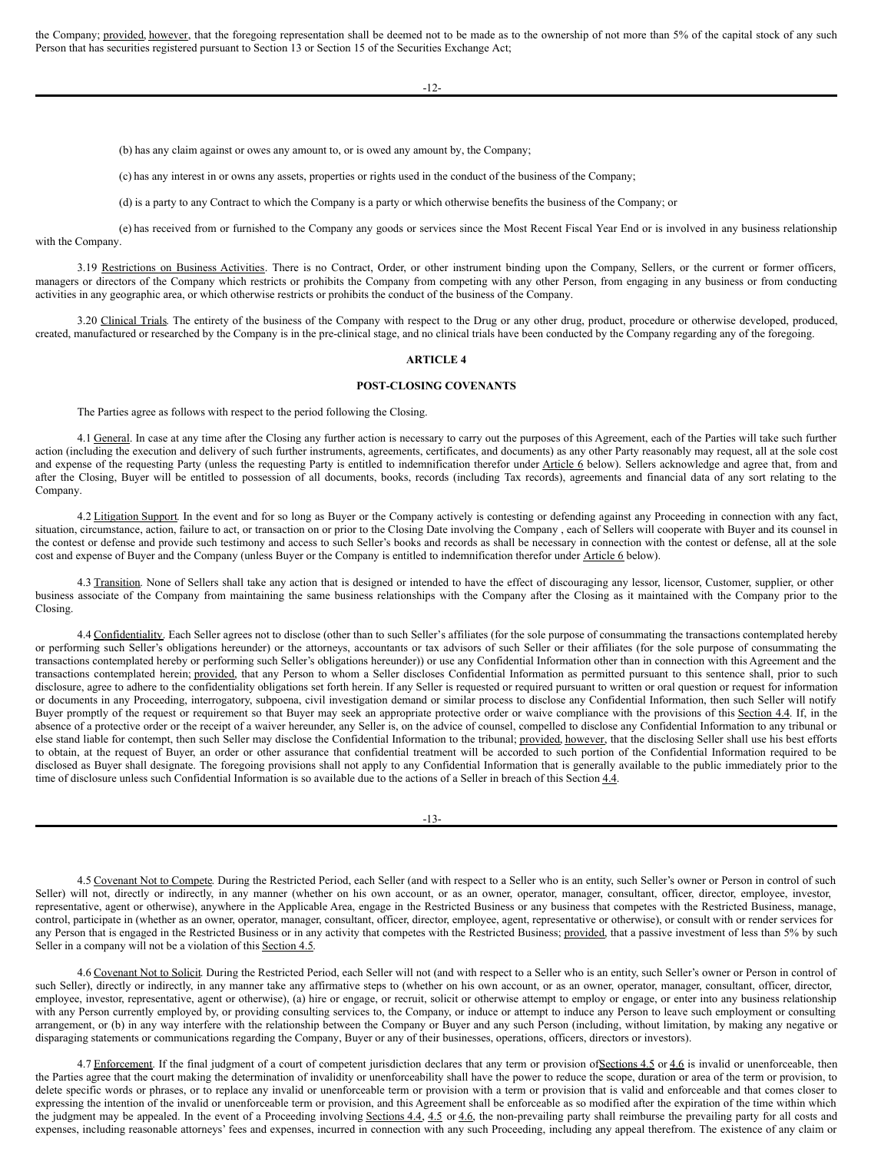the Company; provided, however, that the foregoing representation shall be deemed not to be made as to the ownership of not more than 5% of the capital stock of any such Person that has securities registered pursuant to Section 13 or Section 15 of the Securities Exchange Act;

-12-

(b) has any claim against or owes any amount to, or is owed any amount by, the Company;

(c) has any interest in or owns any assets, properties or rights used in the conduct of the business of the Company;

(d) is a party to any Contract to which the Company is a party or which otherwise benefits the business of the Company; or

(e) has received from or furnished to the Company any goods or services since the Most Recent Fiscal Year End or is involved in any business relationship with the Company.

3.19 Restrictions on Business Activities. There is no Contract, Order, or other instrument binding upon the Company, Sellers, or the current or former officers, managers or directors of the Company which restricts or prohibits the Company from competing with any other Person, from engaging in any business or from conducting activities in any geographic area, or which otherwise restricts or prohibits the conduct of the business of the Company.

3.20 Clinical Trials. The entirety of the business of the Company with respect to the Drug or any other drug, product, procedure or otherwise developed, produced, created, manufactured or researched by the Company is in the pre-clinical stage, and no clinical trials have been conducted by the Company regarding any of the foregoing.

## **ARTICLE 4**

# **POST-CLOSING COVENANTS**

The Parties agree as follows with respect to the period following the Closing.

4.1 General. In case at any time after the Closing any further action is necessary to carry out the purposes of this Agreement, each of the Parties will take such further action (including the execution and delivery of such further instruments, agreements, certificates, and documents) as any other Party reasonably may request, all at the sole cost and expense of the requesting Party (unless the requesting Party is entitled to indemnification therefor under Article 6 below). Sellers acknowledge and agree that, from and after the Closing, Buyer will be entitled to possession of all documents, books, records (including Tax records), agreements and financial data of any sort relating to the Company.

4.2 Litigation Support. In the event and for so long as Buyer or the Company actively is contesting or defending against any Proceeding in connection with any fact, situation, circumstance, action, failure to act, or transaction on or prior to the Closing Date involving the Company, each of Sellers will cooperate with Buyer and its counsel in the contest or defense and provide such testimony and access to such Seller's books and records as shall be necessary in connection with the contest or defense, all at the sole cost and expense of Buyer and the Company (unless Buyer or the Company is entitled to indemnification therefor under Article 6 below).

4.3 Transition. None of Sellers shall take any action that is designed or intended to have the effect of discouraging any lessor, licensor, Customer, supplier, or other business associate of the Company from maintaining the same business relationships with the Company after the Closing as it maintained with the Company prior to the Closing.

4.4 Confidentiality. Each Seller agrees not to disclose (other than to such Seller's affiliates (for the sole purpose of consummating the transactions contemplated hereby or performing such Seller's obligations hereunder) or the attorneys, accountants or tax advisors of such Seller or their affiliates (for the sole purpose of consummating the transactions contemplated hereby or performing such Seller's obligations hereunder)) or use any Confidential Information other than in connection with this Agreement and the transactions contemplated herein; provided, that any Person to whom a Seller discloses Confidential Information as permitted pursuant to this sentence shall, prior to such disclosure, agree to adhere to the confidentiality obligations set forth herein. If any Seller is requested or required pursuant to written or oral question or request for information or documents in any Proceeding, interrogatory, subpoena, civil investigation demand or similar process to disclose any Confidential Information, then such Seller will notify Buyer promptly of the request or requirement so that Buyer may seek an appropriate protective order or waive compliance with the provisions of this Section 4.4. If, in the absence of a protective order or the receipt of a waiver hereunder, any Seller is, on the advice of counsel, compelled to disclose any Confidential Information to any tribunal or else stand liable for contempt, then such Seller may disclose the Confidential Information to the tribunal; provided, however, that the disclosing Seller shall use his best efforts to obtain, at the request of Buyer, an order or other assurance that confidential treatment will be accorded to such portion of the Confidential Information required to be disclosed as Buyer shall designate. The foregoing provisions shall not apply to any Confidential Information that is generally available to the public immediately prior to the time of disclosure unless such Confidential Information is so available due to the actions of a Seller in breach of this Section 4.4.

-13-

4.5 Covenant Not to Compete. During the Restricted Period, each Seller (and with respect to a Seller who is an entity, such Seller's owner or Person in control of such Seller) will not, directly or indirectly, in any manner (whether on his own account, or as an owner, operator, manager, consultant, officer, director, employee, investor, representative, agent or otherwise), anywhere in the Applicable Area, engage in the Restricted Business or any business that competes with the Restricted Business, manage, control, participate in (whether as an owner, operator, manager, consultant, officer, director, employee, agent, representative or otherwise), or consult with or render services for any Person that is engaged in the Restricted Business or in any activity that competes with the Restricted Business; provided, that a passive investment of less than 5% by such Seller in a company will not be a violation of this Section 4.5.

4.6 Covenant Not to Solicit. During the Restricted Period, each Seller will not (and with respect to a Seller who is an entity, such Seller's owner or Person in control of such Seller), directly or indirectly, in any manner take any affirmative steps to (whether on his own account, or as an owner, operator, manager, consultant, officer, director, employee, investor, representative, agent or otherwise), (a) hire or engage, or recruit, solicit or otherwise attempt to employ or engage, or enter into any business relationship with any Person currently employed by, or providing consulting services to, the Company, or induce or attempt to induce any Person to leave such employment or consulting arrangement, or (b) in any way interfere with the relationship between the Company or Buyer and any such Person (including, without limitation, by making any negative or disparaging statements or communications regarding the Company, Buyer or any of their businesses, operations, officers, directors or investors).

4.7 Enforcement. If the final judgment of a court of competent jurisdiction declares that any term or provision ofSections 4.5 or 4.6 is invalid or unenforceable, then the Parties agree that the court making the determination of invalidity or unenforceability shall have the power to reduce the scope, duration or area of the term or provision, to delete specific words or phrases, or to replace any invalid or unenforceable term or provision with a term or provision that is valid and enforceable and that comes closer to expressing the intention of the invalid or unenforceable term or provision, and this Agreement shall be enforceable as so modified after the expiration of the time within which the judgment may be appealed. In the event of a Proceeding involving Sections 4.4, 4.5 or 4.6, the non-prevailing party shall reimburse the prevailing party for all costs and expenses, including reasonable attorneys' fees and expenses, incurred in connection with any such Proceeding, including any appeal therefrom. The existence of any claim or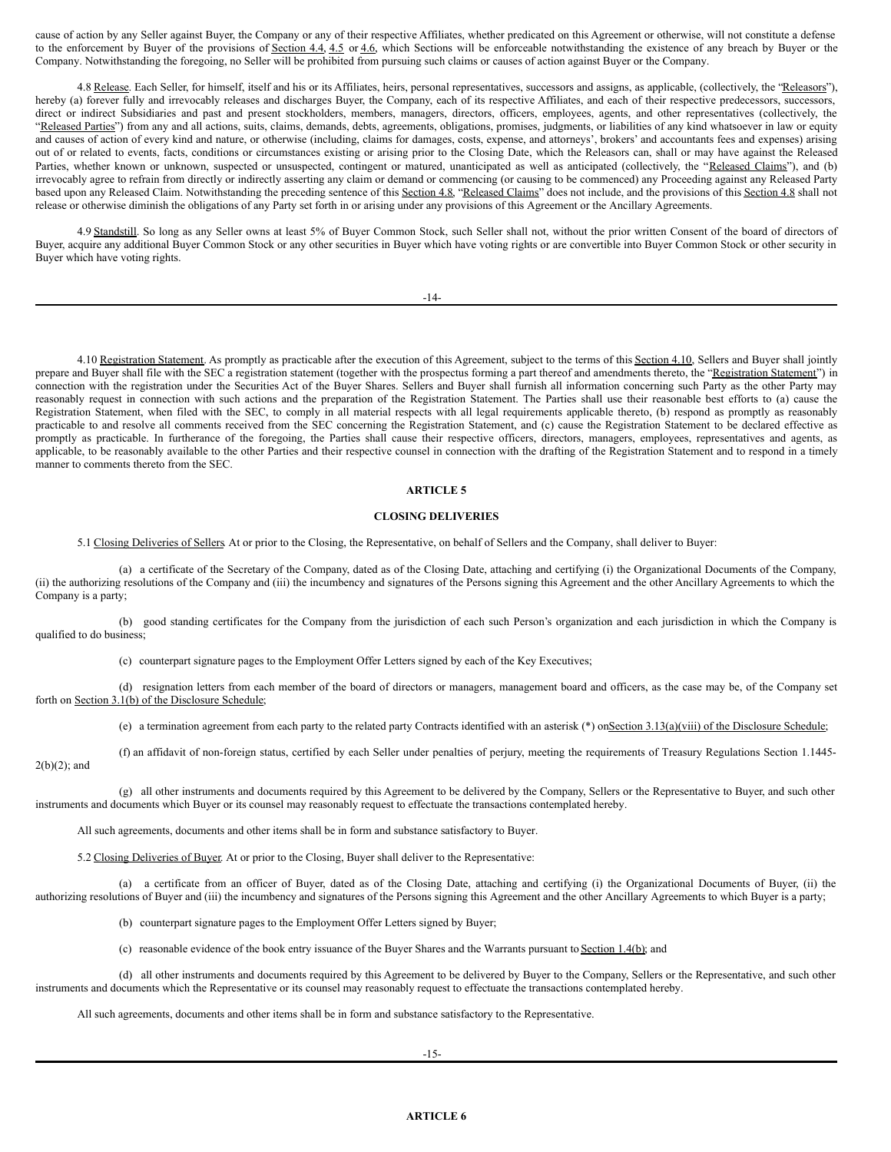cause of action by any Seller against Buyer, the Company or any of their respective Affiliates, whether predicated on this Agreement or otherwise, will not constitute a defense to the enforcement by Buyer of the provisions of Section 4.4, 4.5 or 4.6, which Sections will be enforceable notwithstanding the existence of any breach by Buyer or the Company. Notwithstanding the foregoing, no Seller will be prohibited from pursuing such claims or causes of action against Buyer or the Company.

4.8 Release. Each Seller, for himself, itself and his or its Affiliates, heirs, personal representatives, successors and assigns, as applicable, (collectively, the "Releasors"), hereby (a) forever fully and irrevocably releases and discharges Buyer, the Company, each of its respective Affiliates, and each of their respective predecessors, successors, direct or indirect Subsidiaries and past and present stockholders, members, managers, directors, officers, employees, agents, and other representatives (collectively, the "Released Parties") from any and all actions, suits, claims, demands, debts, agreements, obligations, promises, judgments, or liabilities of any kind whatsoever in law or equity and causes of action of every kind and nature, or otherwise (including, claims for damages, costs, expense, and attorneys', brokers' and accountants fees and expenses) arising out of or related to events, facts, conditions or circumstances existing or arising prior to the Closing Date, which the Releasors can, shall or may have against the Released Parties, whether known or unknown, suspected or unsuspected, contingent or matured, unanticipated as well as anticipated (collectively, the "Released Claims"), and (b) irrevocably agree to refrain from directly or indirectly asserting any claim or demand or commencing (or causing to be commenced) any Proceeding against any Released Party based upon any Released Claim. Notwithstanding the preceding sentence of this Section 4.8, "Released Claims" does not include, and the provisions of this Section 4.8 shall not release or otherwise diminish the obligations of any Party set forth in or arising under any provisions of this Agreement or the Ancillary Agreements.

4.9 Standstill. So long as any Seller owns at least 5% of Buyer Common Stock, such Seller shall not, without the prior written Consent of the board of directors of Buyer, acquire any additional Buyer Common Stock or any other securities in Buyer which have voting rights or are convertible into Buyer Common Stock or other security in Buyer which have voting rights.

-14-

4.10 Registration Statement. As promptly as practicable after the execution of this Agreement, subject to the terms of this Section 4.10, Sellers and Buyer shall jointly prepare and Buyer shall file with the SEC a registration statement (together with the prospectus forming a part thereof and amendments thereto, the "Registration Statement") in connection with the registration under the Securities Act of the Buyer Shares. Sellers and Buyer shall furnish all information concerning such Party as the other Party may reasonably request in connection with such actions and the preparation of the Registration Statement. The Parties shall use their reasonable best efforts to (a) cause the Registration Statement, when filed with the SEC, to comply in all material respects with all legal requirements applicable thereto, (b) respond as promptly as reasonably practicable to and resolve all comments received from the SEC concerning the Registration Statement, and (c) cause the Registration Statement to be declared effective as promptly as practicable. In furtherance of the foregoing, the Parties shall cause their respective officers, directors, managers, employees, representatives and agents, as applicable, to be reasonably available to the other Parties and their respective counsel in connection with the drafting of the Registration Statement and to respond in a timely manner to comments thereto from the SEC.

# **ARTICLE 5**

#### **CLOSING DELIVERIES**

5.1 Closing Deliveries of Sellers. At or prior to the Closing, the Representative, on behalf of Sellers and the Company, shall deliver to Buyer:

(a) a certificate of the Secretary of the Company, dated as of the Closing Date, attaching and certifying (i) the Organizational Documents of the Company, (ii) the authorizing resolutions of the Company and (iii) the incumbency and signatures of the Persons signing this Agreement and the other Ancillary Agreements to which the Company is a party;

(b) good standing certificates for the Company from the jurisdiction of each such Person's organization and each jurisdiction in which the Company is qualified to do business;

(c) counterpart signature pages to the Employment Offer Letters signed by each of the Key Executives;

(d) resignation letters from each member of the board of directors or managers, management board and officers, as the case may be, of the Company set forth on Section 3.1(b) of the Disclosure Schedule;

(e) a termination agreement from each party to the related party Contracts identified with an asterisk (\*) onSection 3.13(a)(viii) of the Disclosure Schedule;

(f) an affidavit of non-foreign status, certified by each Seller under penalties of perjury, meeting the requirements of Treasury Regulations Section 1.1445-  $2(b)(2)$ ; and

(g) all other instruments and documents required by this Agreement to be delivered by the Company, Sellers or the Representative to Buyer, and such other instruments and documents which Buyer or its counsel may reasonably request to effectuate the transactions contemplated hereby.

All such agreements, documents and other items shall be in form and substance satisfactory to Buyer.

5.2 Closing Deliveries of Buyer. At or prior to the Closing, Buyer shall deliver to the Representative:

(a) a certificate from an officer of Buyer, dated as of the Closing Date, attaching and certifying (i) the Organizational Documents of Buyer, (ii) the authorizing resolutions of Buyer and (iii) the incumbency and signatures of the Persons signing this Agreement and the other Ancillary Agreements to which Buyer is a party;

(b) counterpart signature pages to the Employment Offer Letters signed by Buyer;

(c) reasonable evidence of the book entry issuance of the Buyer Shares and the Warrants pursuant to Section 1.4(b); and

(d) all other instruments and documents required by this Agreement to be delivered by Buyer to the Company, Sellers or the Representative, and such other instruments and documents which the Representative or its counsel may reasonably request to effectuate the transactions contemplated hereby.

All such agreements, documents and other items shall be in form and substance satisfactory to the Representative.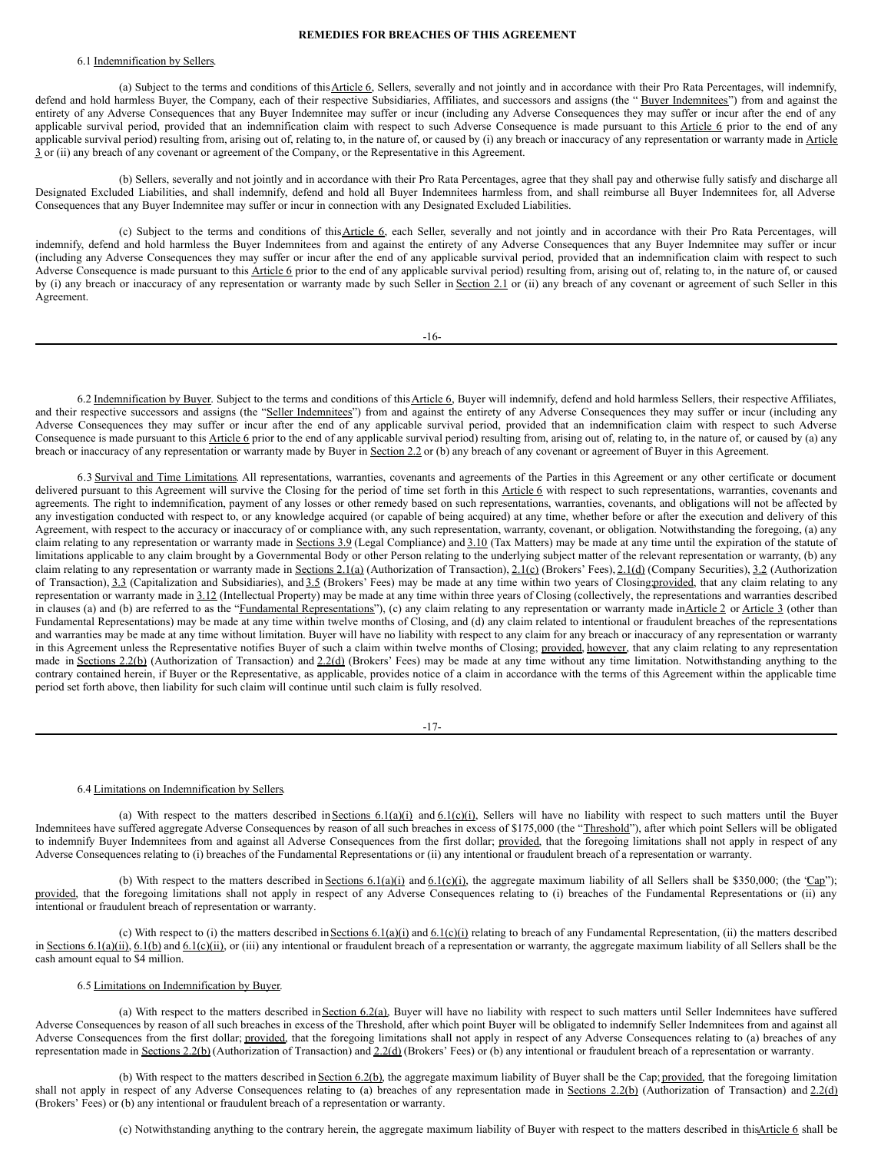#### <span id="page-12-0"></span>**REMEDIES FOR BREACHES OF THIS AGREEMENT**

# 6.1 Indemnification by Sellers.

(a) Subject to the terms and conditions of this Article 6, Sellers, severally and not jointly and in accordance with their Pro Rata Percentages, will indemnify, defend and hold harmless Buyer, the Company, each of their respective Subsidiaries, Affiliates, and successors and assigns (the "Buyer Indemnitees") from and against the entirety of any Adverse Consequences that any Buyer Indemnitee may suffer or incur (including any Adverse Consequences they may suffer or incur after the end of any applicable survival period, provided that an indemnification claim with respect to such Adverse Consequence is made pursuant to this Article 6 prior to the end of any applicable survival period) resulting from, arising out of, relating to, in the nature of, or caused by (i) any breach or inaccuracy of any representation or warranty made in Article 3 or (ii) any breach of any covenant or agreement of the Company, or the Representative in this Agreement.

(b) Sellers, severally and not jointly and in accordance with their Pro Rata Percentages, agree that they shall pay and otherwise fully satisfy and discharge all Designated Excluded Liabilities, and shall indemnify, defend and hold all Buyer Indemnitees harmless from, and shall reimburse all Buyer Indemnitees for, all Adverse Consequences that any Buyer Indemnitee may suffer or incur in connection with any Designated Excluded Liabilities.

(c) Subject to the terms and conditions of thisArticle 6, each Seller, severally and not jointly and in accordance with their Pro Rata Percentages, will indemnify, defend and hold harmless the Buyer Indemnitees from and against the entirety of any Adverse Consequences that any Buyer Indemnitee may suffer or incur (including any Adverse Consequences they may suffer or incur after the end of any applicable survival period, provided that an indemnification claim with respect to such Adverse Consequence is made pursuant to this Article 6 prior to the end of any applicable survival period) resulting from, arising out of, relating to, in the nature of, or caused by (i) any breach or inaccuracy of any representation or warranty made by such Seller in Section 2.1 or (ii) any breach of any covenant or agreement of such Seller in this Agreement.

-16-

6.2 Indemnification by Buyer. Subject to the terms and conditions of this Article 6, Buyer will indemnify, defend and hold harmless Sellers, their respective Affiliates, and their respective successors and assigns (the "Seller Indemnitees") from and against the entirety of any Adverse Consequences they may suffer or incur (including any Adverse Consequences they may suffer or incur after the end of any applicable survival period, provided that an indemnification claim with respect to such Adverse Consequence is made pursuant to this Article 6 prior to the end of any applicable survival period) resulting from, arising out of, relating to, in the nature of, or caused by (a) any breach or inaccuracy of any representation or warranty made by Buyer in Section 2.2 or (b) any breach of any covenant or agreement of Buyer in this Agreement.

6.3 Survival and Time Limitations. All representations, warranties, covenants and agreements of the Parties in this Agreement or any other certificate or document delivered pursuant to this Agreement will survive the Closing for the period of time set forth in this Article 6 with respect to such representations, warranties, covenants and agreements. The right to indemnification, payment of any losses or other remedy based on such representations, warranties, covenants, and obligations will not be affected by any investigation conducted with respect to, or any knowledge acquired (or capable of being acquired) at any time, whether before or after the execution and delivery of this Agreement, with respect to the accuracy or inaccuracy of or compliance with, any such representation, warranty, covenant, or obligation. Notwithstanding the foregoing, (a) any claim relating to any representation or warranty made in Sections 3.9 (Legal Compliance) and 3.10 (Tax Matters) may be made at any time until the expiration of the statute of limitations applicable to any claim brought by a Governmental Body or other Person relating to the underlying subject matter of the relevant representation or warranty, (b) any claim relating to any representation or warranty made in Sections 2.1(a) (Authorization of Transaction),  $2.1(c)$  (Brokers' Fees),  $2.1(d)$  (Company Securities),  $3.2$  (Authorization claim relating to any representation or of Transaction), 3.3 (Capitalization and Subsidiaries), and 3.5 (Brokers' Fees) may be made at any time within two years of Closing provided, that any claim relating to any representation or warranty made in 3.12 (Intellectual Property) may be made at any time within three years of Closing (collectively, the representations and warranties described in clauses (a) and (b) are referred to as the "Fundamental Representations"), (c) any claim relating to any representation or warranty made inArticle 2 or Article 3 (other than Fundamental Representations) may be made at any time within twelve months of Closing, and (d) any claim related to intentional or fraudulent breaches of the representations and warranties may be made at any time without limitation. Buyer will have no liability with respect to any claim for any breach or inaccuracy of any representation or warranty in this Agreement unless the Representative notifies Buyer of such a claim within twelve months of Closing; provided, however, that any claim relating to any representation made in Sections 2.2(b) (Authorization of Transaction) and 2.2(d) (Brokers' Fees) may be made at any time without any time limitation. Notwithstanding anything to the contrary contained herein, if Buyer or the Representative, as applicable, provides notice of a claim in accordance with the terms of this Agreement within the applicable time period set forth above, then liability for such claim will continue until such claim is fully resolved.

-17-

#### 6.4 Limitations on Indemnification by Sellers.

(a) With respect to the matters described in Sections  $6.1(a)(i)$  and  $6.1(c)(i)$ , Sellers will have no liability with respect to such matters until the Buyer Indemnitees have suffered aggregate Adverse Consequences by reason of all such breaches in excess of \$175,000 (the "Threshold"), after which point Sellers will be obligated to indemnify Buyer Indemnitees from and against all Adverse Consequences from the first dollar; provided, that the foregoing limitations shall not apply in respect of any Adverse Consequences relating to (i) breaches of the Fundamental Representations or (ii) any intentional or fraudulent breach of a representation or warranty.

(b) With respect to the matters described in Sections 6.1(a)(i) and 6.1(c)(i), the aggregate maximum liability of all Sellers shall be \$350,000; (the 'Cap''); provided, that the foregoing limitations shall not apply in respect of any Adverse Consequences relating to (i) breaches of the Fundamental Representations or (ii) any intentional or fraudulent breach of representation or warranty.

(c) With respect to (i) the matters described in Sections  $6.1(a)(i)$  and  $6.1(c)(i)$  relating to breach of any Fundamental Representation, (ii) the matters described in Sections 6.1(a)(ii), 6.1(b) and 6.1(c)(ii), or (iii) any intentional or fraudulent breach of a representation or warranty, the aggregate maximum liability of all Sellers shall be the cash amount equal to \$4 million.

#### 6.5 Limitations on Indemnification by Buyer.

(a) With respect to the matters described in Section 6.2(a), Buyer will have no liability with respect to such matters until Seller Indemnitees have suffered Adverse Consequences by reason of all such breaches in excess of the Threshold, after which point Buyer will be obligated to indemnify Seller Indemnitees from and against all Adverse Consequences from the first dollar; provided, that the foregoing limitations shall not apply in respect of any Adverse Consequences relating to (a) breaches of any representation made in Sections 2.2(b) (Authorization of Transaction) and 2.2(d) (Brokers' Fees) or (b) any intentional or fraudulent breach of a representation or warranty.

(b) With respect to the matters described in Section 6.2(b), the aggregate maximum liability of Buyer shall be the Cap; provided, that the foregoing limitation shall not apply in respect of any Adverse Consequences relating to (a) breaches of any representation made in Sections 2.2(b) (Authorization of Transaction) and 2.2(d) (Brokers' Fees) or (b) any intentional or fraudulent breach of a representation or warranty.

(c) Notwithstanding anything to the contrary herein, the aggregate maximum liability of Buyer with respect to the matters described in thisArticle 6 shall be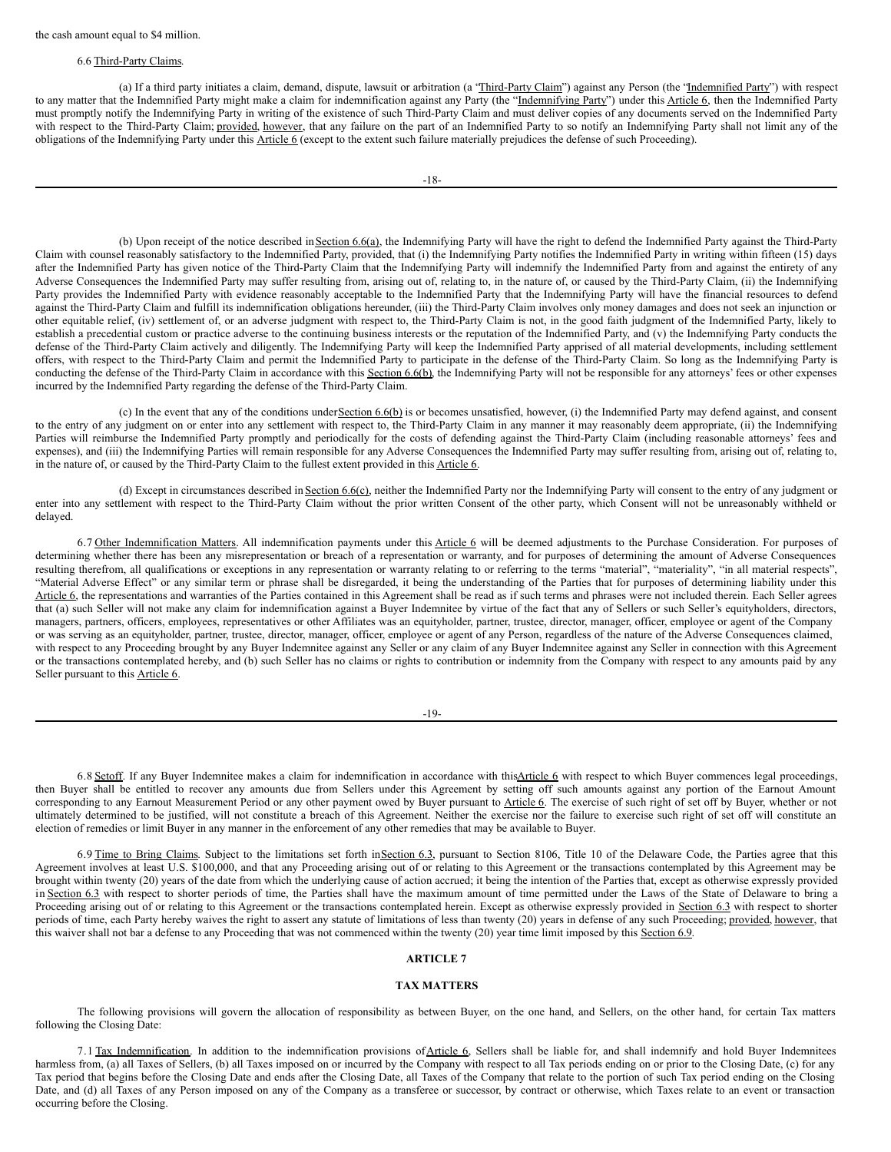# 6.6 Third-Party Claims.

(a) If a third party initiates a claim, demand, dispute, lawsuit or arbitration (a "Third-Party Claim") against any Person (the "Indemnified Party") with respect to any matter that the Indemnified Party might make a claim for indemnification against any Party (the "Indemnifying Party") under this Article 6, then the Indemnified Party must promptly notify the Indemnifying Party in writing of the existence of such Third-Party Claim and must deliver copies of any documents served on the Indemnified Party with respect to the Third-Party Claim; provided, however, that any failure on the part of an Indemnified Party to so notify an Indemnifying Party shall not limit any of the obligations of the Indemnifying Party under this Article 6 (except to the extent such failure materially prejudices the defense of such Proceeding).

(b) Upon receipt of the notice described in Section 6.6(a), the Indemnifying Party will have the right to defend the Indemnified Party against the Third-Party Claim with counsel reasonably satisfactory to the Indemnified Party, provided, that (i) the Indemnifying Party notifies the Indemnified Party in writing within fifteen (15) days after the Indemnified Party has given notice of the Third-Party Claim that the Indemnifying Party will indemnify the Indemnified Party from and against the entirety of any Adverse Consequences the Indemnified Party may suffer resulting from, arising out of, relating to, in the nature of, or caused by the Third-Party Claim, (ii) the Indemnifying Party provides the Indemnified Party with evidence reasonably acceptable to the Indemnified Party that the Indemnifying Party will have the financial resources to defend against the Third-Party Claim and fulfill its indemnification obligations hereunder, (iii) the Third-Party Claim involves only money damages and does not seek an injunction or other equitable relief, (iv) settlement of, or an adverse judgment with respect to, the Third-Party Claim is not, in the good faith judgment of the Indemnified Party, likely to establish a precedential custom or practice adverse to the continuing business interests or the reputation of the Indemnified Party, and (v) the Indemnifying Party conducts the defense of the Third-Party Claim actively and diligently. The Indemnifying Party will keep the Indemnified Party apprised of all material developments, including settlement offers, with respect to the Third-Party Claim and permit the Indemnified Party to participate in the defense of the Third-Party Claim. So long as the Indemnifying Party is conducting the defense of the Third-Party Claim in accordance with this Section 6.6(b), the Indemnifying Party will not be responsible for any attorneys' fees or other expenses incurred by the Indemnified Party regarding the defense of the Third-Party Claim.

(c) In the event that any of the conditions under Section 6.6(b) is or becomes unsatisfied, however, (i) the Indemnified Party may defend against, and consent to the entry of any judgment on or enter into any settlement with respect to, the Third-Party Claim in any manner it may reasonably deem appropriate, (ii) the Indemnifying Parties will reimburse the Indemnified Party promptly and periodically for the costs of defending against the Third-Party Claim (including reasonable attorneys' fees and expenses), and (iii) the Indemnifying Parties will remain responsible for any Adverse Consequences the Indemnified Party may suffer resulting from, arising out of, relating to, in the nature of, or caused by the Third-Party Claim to the fullest extent provided in this Article 6.

(d) Except in circumstances described in Section 6.6(c), neither the Indemnified Party nor the Indemnifying Party will consent to the entry of any judgment or enter into any settlement with respect to the Third-Party Claim without the prior written Consent of the other party, which Consent will not be unreasonably withheld or delayed.

6.7 Other Indemnification Matters. All indemnification payments under this Article 6 will be deemed adjustments to the Purchase Consideration. For purposes of determining whether there has been any misrepresentation or breach of a representation or warranty, and for purposes of determining the amount of Adverse Consequences resulting therefrom, all qualifications or exceptions in any representation or warranty relating to or referring to the terms "material", "materiality", "in all material respects", "Material Adverse Effect" or any similar term or phrase shall be disregarded, it being the understanding of the Parties that for purposes of determining liability under this Article 6, the representations and warranties of the Parties contained in this Agreement shall be read as if such terms and phrases were not included therein. Each Seller agrees that (a) such Seller will not make any claim for indemnification against a Buyer Indemnitee by virtue of the fact that any of Sellers or such Seller's equityholders, directors, managers, partners, officers, employees, representatives or other Affiliates was an equityholder, partner, trustee, director, manager, officer, employee or agent of the Company or was serving as an equityholder, partner, trustee, director, manager, officer, employee or agent of any Person, regardless of the nature of the Adverse Consequences claimed, with respect to any Proceeding brought by any Buyer Indemnitee against any Seller or any claim of any Buyer Indemnitee against any Seller in connection with this Agreement or the transactions contemplated hereby, and (b) such Seller has no claims or rights to contribution or indemnity from the Company with respect to any amounts paid by any Seller pursuant to this **Article 6**.

| _<br>۰.<br>۰,<br>٧ |
|--------------------|
|--------------------|

6.8 Setoff. If any Buyer Indemnitee makes a claim for indemnification in accordance with thisArticle 6 with respect to which Buyer commences legal proceedings, then Buyer shall be entitled to recover any amounts due from Sellers under this Agreement by setting off such amounts against any portion of the Earnout Amount corresponding to any Earnout Measurement Period or any other payment owed by Buyer pursuant to Article 6. The exercise of such right of set off by Buyer, whether or not ultimately determined to be justified, will not constitute a breach of this Agreement. Neither the exercise nor the failure to exercise such right of set off will constitute an election of remedies or limit Buyer in any manner in the enforcement of any other remedies that may be available to Buyer.

6.9 Time to Bring Claims. Subject to the limitations set forth in Section 6.3, pursuant to Section 8106, Title 10 of the Delaware Code, the Parties agree that this Agreement involves at least U.S. \$100,000, and that any Proceeding arising out of or relating to this Agreement or the transactions contemplated by this Agreement may be brought within twenty (20) years of the date from which the underlying cause of action accrued; it being the intention of the Parties that, except as otherwise expressly provided in Section 6.3 with respect to shorter periods of time, the Parties shall have the maximum amount of time permitted under the Laws of the State of Delaware to bring a Proceeding arising out of or relating to this Agreement or the transactions contemplated herein. Except as otherwise expressly provided in Section 6.3 with respect to shorter periods of time, each Party hereby waives the right to assert any statute of limitations of less than twenty (20) years in defense of any such Proceeding; provided, however, that this waiver shall not bar a defense to any Proceeding that was not commenced within the twenty (20) year time limit imposed by this Section 6.9.

# **ARTICLE 7**

# **TAX MATTERS**

The following provisions will govern the allocation of responsibility as between Buyer, on the one hand, and Sellers, on the other hand, for certain Tax matters following the Closing Date:

7.1 Tax Indemnification. In addition to the indemnification provisions of Article 6, Sellers shall be liable for, and shall indemnify and hold Buyer Indemnitees harmless from, (a) all Taxes of Sellers, (b) all Taxes imposed on or incurred by the Company with respect to all Tax periods ending on or prior to the Closing Date, (c) for any Tax period that begins before the Closing Date and ends after the Closing Date, all Taxes of the Company that relate to the portion of such Tax period ending on the Closing Date, and (d) all Taxes of any Person imposed on any of the Company as a transferee or successor, by contract or otherwise, which Taxes relate to an event or transaction occurring before the Closing.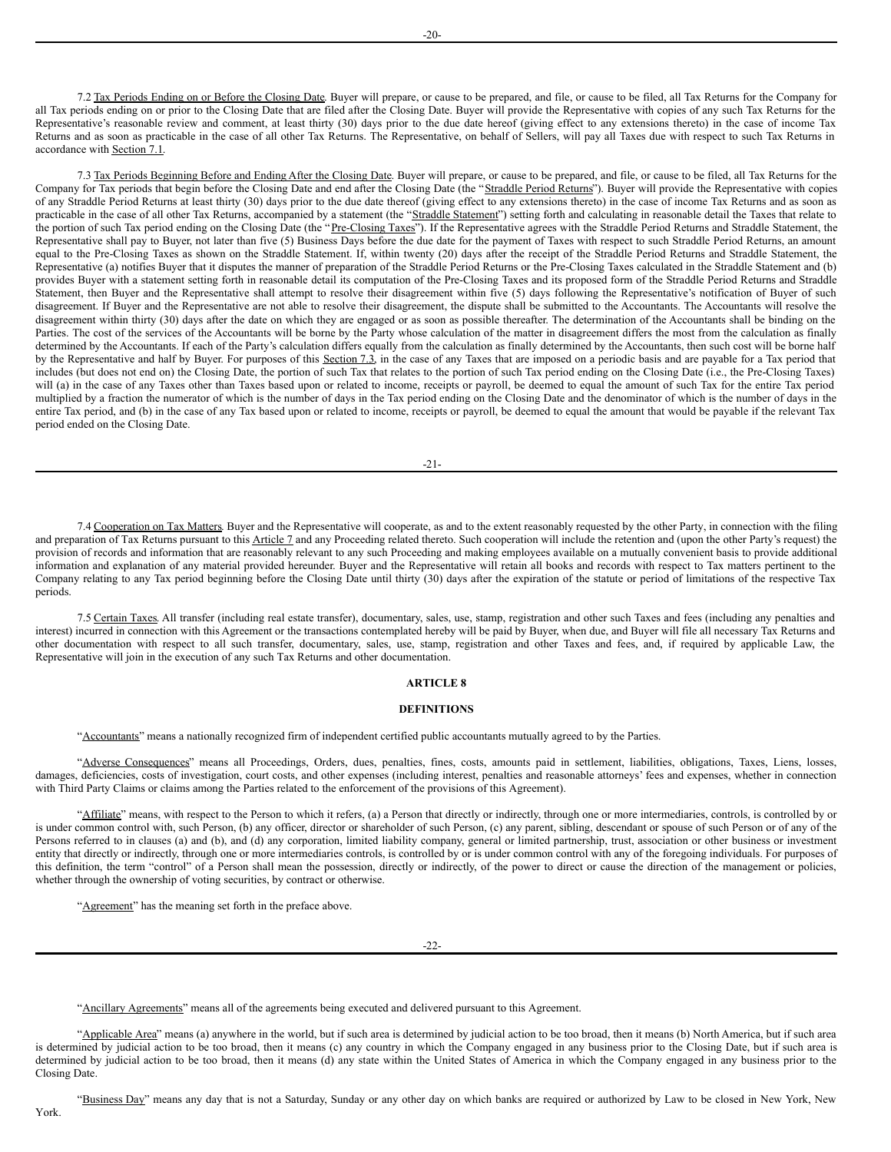7.2 Tax Periods Ending on or Before the Closing Date. Buyer will prepare, or cause to be prepared, and file, or cause to be filed, all Tax Returns for the Company for all Tax periods ending on or prior to the Closing Date that are filed after the Closing Date. Buyer will provide the Representative with copies of any such Tax Returns for the Representative's reasonable review and comment, at least thirty (30) days prior to the due date hereof (giving effect to any extensions thereto) in the case of income Tax Returns and as soon as practicable in the case of all other Tax Returns. The Representative, on behalf of Sellers, will pay all Taxes due with respect to such Tax Returns in accordance with Section 7.1.

7.3 Tax Periods Beginning Before and Ending After the Closing Date. Buyer will prepare, or cause to be prepared, and file, or cause to be filed, all Tax Returns for the Company for Tax periods that begin before the Closing Date and end after the Closing Date (the "Straddle Period Returns"). Buyer will provide the Representative with copies of any Straddle Period Returns at least thirty (30) days prior to the due date thereof (giving effect to any extensions thereto) in the case of income Tax Returns and as soon as practicable in the case of all other Tax Returns, accompanied by a statement (the "Straddle Statement") setting forth and calculating in reasonable detail the Taxes that relate to the portion of such Tax period ending on the Closing Date (the "Pre-Closing Taxes"). If the Representative agrees with the Straddle Period Returns and Straddle Statement, the Representative shall pay to Buyer, not later than five (5) Business Days before the due date for the payment of Taxes with respect to such Straddle Period Returns, an amount equal to the Pre-Closing Taxes as shown on the Straddle Statement. If, within twenty (20) days after the receipt of the Straddle Period Returns and Straddle Statement, the Representative (a) notifies Buyer that it disputes the manner of preparation of the Straddle Period Returns or the Pre-Closing Taxes calculated in the Straddle Statement and (b) provides Buyer with a statement setting forth in reasonable detail its computation of the Pre-Closing Taxes and its proposed form of the Straddle Period Returns and Straddle Statement, then Buyer and the Representative shall attempt to resolve their disagreement within five (5) days following the Representative's notification of Buyer of such disagreement. If Buyer and the Representative are not able to resolve their disagreement, the dispute shall be submitted to the Accountants. The Accountants will resolve the disagreement within thirty (30) days after the date on which they are engaged or as soon as possible thereafter. The determination of the Accountants shall be binding on the Parties. The cost of the services of the Accountants will be borne by the Party whose calculation of the matter in disagreement differs the most from the calculation as finally determined by the Accountants. If each of the Party's calculation differs equally from the calculation as finally determined by the Accountants, then such cost will be borne half by the Representative and half by Buyer. For purposes of this Section 7.3, in the case of any Taxes that are imposed on a periodic basis and are payable for a Tax period that includes (but does not end on) the Closing Date, the portion of such Tax that relates to the portion of such Tax period ending on the Closing Date (i.e., the Pre-Closing Taxes) will (a) in the case of any Taxes other than Taxes based upon or related to income, receipts or payroll, be deemed to equal the amount of such Tax for the entire Tax period multiplied by a fraction the numerator of which is the number of days in the Tax period ending on the Closing Date and the denominator of which is the number of days in the entire Tax period, and (b) in the case of any Tax based upon or related to income, receipts or payroll, be deemed to equal the amount that would be payable if the relevant Tax period ended on the Closing Date.

-21-

7.4 Cooperation on Tax Matters. Buyer and the Representative will cooperate, as and to the extent reasonably requested by the other Party, in connection with the filing and preparation of Tax Returns pursuant to this Article 7 and any Proceeding related thereto. Such cooperation will include the retention and (upon the other Party's request) the provision of records and information that are reasonably relevant to any such Proceeding and making employees available on a mutually convenient basis to provide additional information and explanation of any material provided hereunder. Buyer and the Representative will retain all books and records with respect to Tax matters pertinent to the Company relating to any Tax period beginning before the Closing Date until thirty (30) days after the expiration of the statute or period of limitations of the respective Tax periods.

7.5 Certain Taxes. All transfer (including real estate transfer), documentary, sales, use, stamp, registration and other such Taxes and fees (including any penalties and interest) incurred in connection with this Agreement or the transactions contemplated hereby will be paid by Buyer, when due, and Buyer will file all necessary Tax Returns and other documentation with respect to all such transfer, documentary, sales, use, stamp, registration and other Taxes and fees, and, if required by applicable Law, the Representative will join in the execution of any such Tax Returns and other documentation.

# **ARTICLE 8**

#### **DEFINITIONS**

"Accountants" means a nationally recognized firm of independent certified public accountants mutually agreed to by the Parties.

"Adverse Consequences" means all Proceedings, Orders, dues, penalties, fines, costs, amounts paid in settlement, liabilities, obligations, Taxes, Liens, losses, damages, deficiencies, costs of investigation, court costs, and other expenses (including interest, penalties and reasonable attorneys' fees and expenses, whether in connection with Third Party Claims or claims among the Parties related to the enforcement of the provisions of this Agreement).

"Affiliate" means, with respect to the Person to which it refers, (a) a Person that directly or indirectly, through one or more intermediaries, controls, is controlled by or is under common control with, such Person, (b) any officer, director or shareholder of such Person, (c) any parent, sibling, descendant or spouse of such Person or of any of the Persons referred to in clauses (a) and (b), and (d) any corporation, limited liability company, general or limited partnership, trust, association or other business or investment entity that directly or indirectly, through one or more intermediaries controls, is controlled by or is under common control with any of the foregoing individuals. For purposes of this definition, the term "control" of a Person shall mean the possession, directly or indirectly, of the power to direct or cause the direction of the management or policies, whether through the ownership of voting securities, by contract or otherwise.

"Agreement" has the meaning set forth in the preface above.

-22-

"Ancillary Agreements" means all of the agreements being executed and delivered pursuant to this Agreement.

"Applicable Area" means (a) anywhere in the world, but if such area is determined by judicial action to be too broad, then it means (b) North America, but if such area is determined by judicial action to be too broad, then it means (c) any country in which the Company engaged in any business prior to the Closing Date, but if such area is determined by judicial action to be too broad, then it means (d) any state within the United States of America in which the Company engaged in any business prior to the Closing Date.

"Business Day" means any day that is not a Saturday, Sunday or any other day on which banks are required or authorized by Law to be closed in New York, New

York.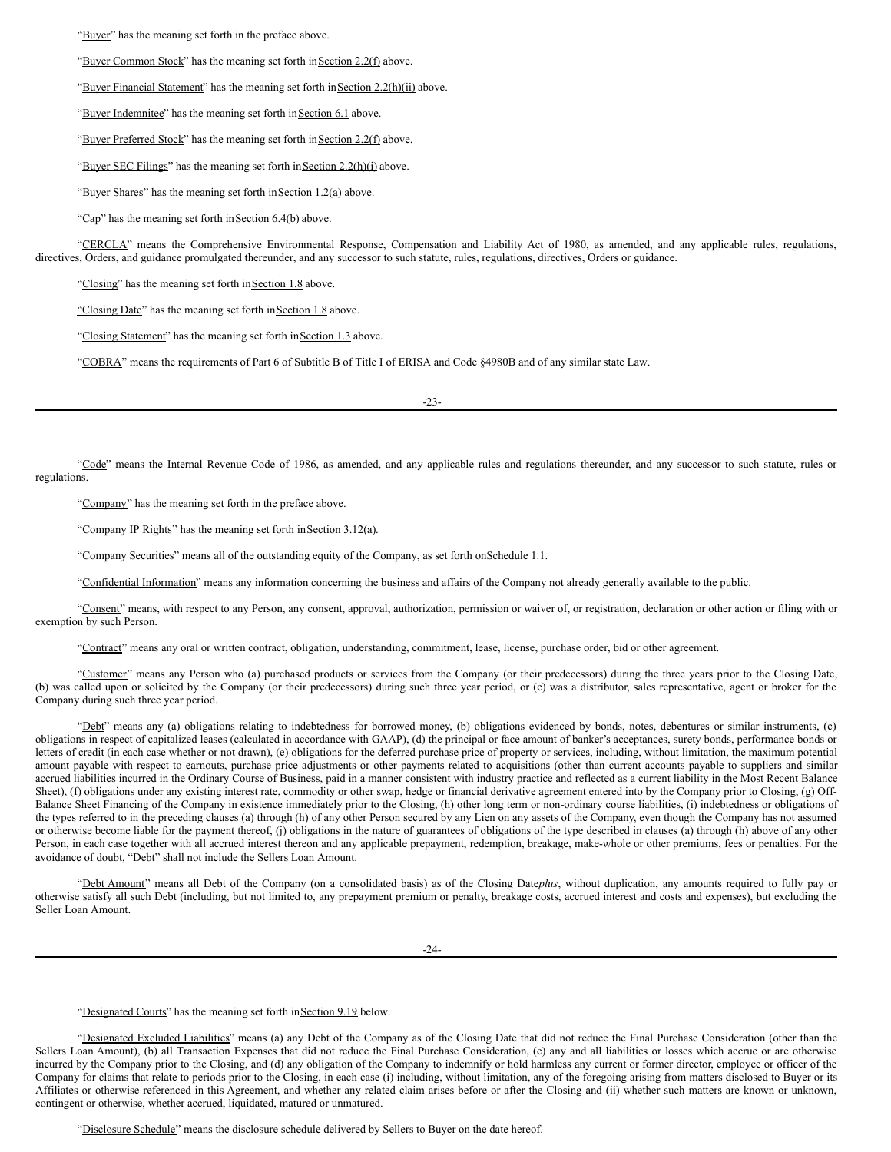"Buyer" has the meaning set forth in the preface above.

"Buyer Common Stock" has the meaning set forth in Section 2.2(f) above.

"Buyer Financial Statement" has the meaning set forth in Section 2.2(h)(ii) above.

"Buyer Indemnitee" has the meaning set forth in Section 6.1 above.

"Buyer Preferred Stock" has the meaning set forth in Section 2.2(f) above.

"Buyer SEC Filings" has the meaning set forth in Section 2.2(h)(i) above.

"Buyer Shares" has the meaning set forth in Section 1.2(a) above.

"Cap" has the meaning set forth in Section  $6.4(b)$  above.

"CERCLA" means the Comprehensive Environmental Response, Compensation and Liability Act of 1980, as amended, and any applicable rules, regulations, directives, Orders, and guidance promulgated thereunder, and any successor to such statute, rules, regulations, directives, Orders or guidance.

"Closing" has the meaning set forth in Section 1.8 above.

"Closing Date" has the meaning set forth in Section 1.8 above.

"Closing Statement" has the meaning set forth in Section 1.3 above.

"COBRA" means the requirements of Part 6 of Subtitle B of Title I of ERISA and Code §4980B and of any similar state Law.

-23-

"Code" means the Internal Revenue Code of 1986, as amended, and any applicable rules and regulations thereunder, and any successor to such statute, rules or regulations.

"Company" has the meaning set forth in the preface above.

"Company IP Rights" has the meaning set forth in Section 3.12(a).

"Company Securities" means all of the outstanding equity of the Company, as set forth on Schedule 1.1.

"Confidential Information" means any information concerning the business and affairs of the Company not already generally available to the public.

"Consent" means, with respect to any Person, any consent, approval, authorization, permission or waiver of, or registration, declaration or other action or filing with or exemption by such Person.

"Contract" means any oral or written contract, obligation, understanding, commitment, lease, license, purchase order, bid or other agreement.

"Customer" means any Person who (a) purchased products or services from the Company (or their predecessors) during the three years prior to the Closing Date, (b) was called upon or solicited by the Company (or their predecessors) during such three year period, or (c) was a distributor, sales representative, agent or broker for the Company during such three year period.

"Debt" means any (a) obligations relating to indebtedness for borrowed money, (b) obligations evidenced by bonds, notes, debentures or similar instruments, (c) obligations in respect of capitalized leases (calculated in accordance with GAAP), (d) the principal or face amount of banker's acceptances, surety bonds, performance bonds or letters of credit (in each case whether or not drawn), (e) obligations for the deferred purchase price of property or services, including, without limitation, the maximum potential amount payable with respect to earnouts, purchase price adjustments or other payments related to acquisitions (other than current accounts payable to suppliers and similar accrued liabilities incurred in the Ordinary Course of Business, paid in a manner consistent with industry practice and reflected as a current liability in the Most Recent Balance Sheet), (f) obligations under any existing interest rate, commodity or other swap, hedge or financial derivative agreement entered into by the Company prior to Closing, (g) Off-Balance Sheet Financing of the Company in existence immediately prior to the Closing, (h) other long term or non-ordinary course liabilities, (i) indebtedness or obligations of the types referred to in the preceding clauses (a) through (h) of any other Person secured by any Lien on any assets of the Company, even though the Company has not assumed or otherwise become liable for the payment thereof, (j) obligations in the nature of guarantees of obligations of the type described in clauses (a) through (h) above of any other Person, in each case together with all accrued interest thereon and any applicable prepayment, redemption, breakage, make-whole or other premiums, fees or penalties. For the avoidance of doubt, "Debt" shall not include the Sellers Loan Amount.

"Debt Amount" means all Debt of the Company (on a consolidated basis) as of the Closing Date*plus*, without duplication, any amounts required to fully pay or otherwise satisfy all such Debt (including, but not limited to, any prepayment premium or penalty, breakage costs, accrued interest and costs and expenses), but excluding the Seller Loan Amount.

"Designated Courts" has the meaning set forth in Section 9.19 below.

"Designated Excluded Liabilities" means (a) any Debt of the Company as of the Closing Date that did not reduce the Final Purchase Consideration (other than the Sellers Loan Amount), (b) all Transaction Expenses that did not reduce the Final Purchase Consideration, (c) any and all liabilities or losses which accrue or are otherwise incurred by the Company prior to the Closing, and (d) any obligation of the Company to indemnify or hold harmless any current or former director, employee or officer of the Company for claims that relate to periods prior to the Closing, in each case (i) including, without limitation, any of the foregoing arising from matters disclosed to Buyer or its Affiliates or otherwise referenced in this Agreement, and whether any related claim arises before or after the Closing and (ii) whether such matters are known or unknown, contingent or otherwise, whether accrued, liquidated, matured or unmatured.

"Disclosure Schedule" means the disclosure schedule delivered by Sellers to Buyer on the date hereof.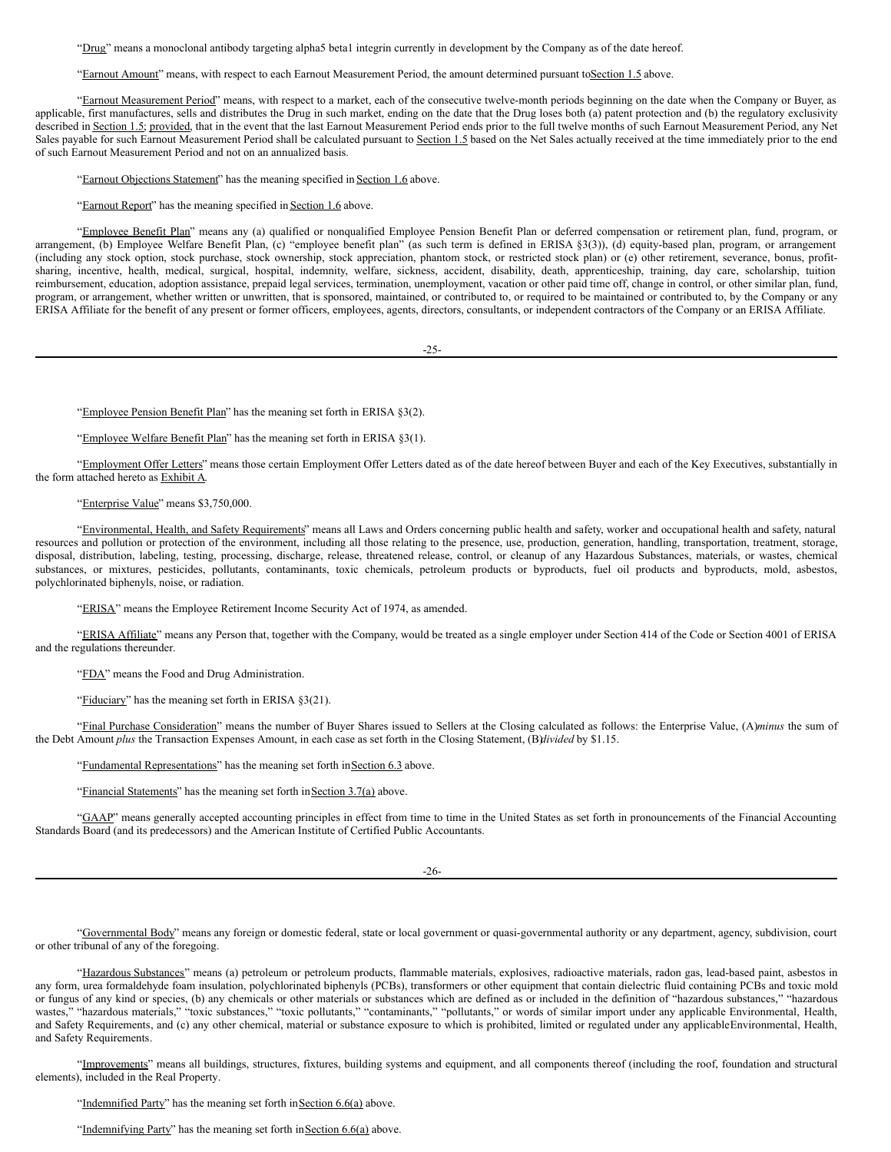"Drug" means a monoclonal antibody targeting alpha5 beta1 integrin currently in development by the Company as of the date hereof.

"Earnout Amount" means, with respect to each Earnout Measurement Period, the amount determined pursuant toSection 1.5 above.

"Earnout Measurement Period" means, with respect to a market, each of the consecutive twelve-month periods beginning on the date when the Company or Buyer, as applicable, first manufactures, sells and distributes the Drug in such market, ending on the date that the Drug loses both (a) patent protection and (b) the regulatory exclusivity described in Section 1.5; provided, that in the event that the last Earnout Measurement Period ends prior to the full twelve months of such Earnout Measurement Period, any Net Sales payable for such Earnout Measurement Period shall be calculated pursuant to Section 1.5 based on the Net Sales actually received at the time immediately prior to the end of such Earnout Measurement Period and not on an annualized basis.

"Earnout Objections Statement" has the meaning specified in Section 1.6 above.

"Earnout Report" has the meaning specified in Section 1.6 above.

"Employee Benefit Plan" means any (a) qualified or nonqualified Employee Pension Benefit Plan or deferred compensation or retirement plan, fund, program, or arrangement, (b) Employee Welfare Benefit Plan, (c) "employee benefit plan" (as such term is defined in ERISA §3(3)), (d) equity-based plan, program, or arrangement (including any stock option, stock purchase, stock ownership, stock appreciation, phantom stock, or restricted stock plan) or (e) other retirement, severance, bonus, profitsharing, incentive, health, medical, surgical, hospital, indemnity, welfare, sickness, accident, disability, death, apprenticeship, training, day care, scholarship, tuition reimbursement, education, adoption assistance, prepaid legal services, termination, unemployment, vacation or other paid time off, change in control, or other similar plan, fund, program, or arrangement, whether written or unwritten, that is sponsored, maintained, or contributed to, or required to be maintained or contributed to, by the Company or any ERISA Affiliate for the benefit of any present or former officers, employees, agents, directors, consultants, or independent contractors of the Company or an ERISA Affiliate.

 $-25-$ 

"Employee Pension Benefit Plan" has the meaning set forth in ERISA §3(2).

"Employee Welfare Benefit Plan" has the meaning set forth in ERISA §3(1).

"Employment Offer Letters" means those certain Employment Offer Letters dated as of the date hereof between Buyer and each of the Key Executives, substantially in the form attached hereto as Exhibit A.

## "Enterprise Value" means \$3,750,000.

"Environmental, Health, and Safety Requirements" means all Laws and Orders concerning public health and safety, worker and occupational health and safety, natural resources and pollution or protection of the environment, including all those relating to the presence, use, production, generation, handling, transportation, treatment, storage, disposal, distribution, labeling, testing, processing, discharge, release, threatened release, control, or cleanup of any Hazardous Substances, materials, or wastes, chemical substances, or mixtures, pesticides, pollutants, contaminants, toxic chemicals, petroleum products or byproducts, fuel oil products and byproducts, mold, asbestos, polychlorinated biphenyls, noise, or radiation.

"ERISA" means the Employee Retirement Income Security Act of 1974, as amended.

"ERISA Affiliate" means any Person that, together with the Company, would be treated as a single employer under Section 414 of the Code or Section 4001 of ERISA and the regulations thereunder.

"FDA" means the Food and Drug Administration.

"Fiduciary" has the meaning set forth in ERISA §3(21).

"Final Purchase Consideration" means the number of Buyer Shares issued to Sellers at the Closing calculated as follows: the Enterprise Value, (A)*minus* the sum of the Debt Amount *plus* the Transaction Expenses Amount, in each case as set forth in the Closing Statement, (B)*divided* by \$1.15.

"Fundamental Representations" has the meaning set forth in Section 6.3 above.

"Financial Statements" has the meaning set forth in Section 3.7(a) above.

"GAAP" means generally accepted accounting principles in effect from time to time in the United States as set forth in pronouncements of the Financial Accounting Standards Board (and its predecessors) and the American Institute of Certified Public Accountants.

-26-

"Governmental Body" means any foreign or domestic federal, state or local government or quasi-governmental authority or any department, agency, subdivision, court or other tribunal of any of the foregoing.

"Hazardous Substances" means (a) petroleum or petroleum products, flammable materials, explosives, radioactive materials, radon gas, lead-based paint, asbestos in any form, urea formaldehyde foam insulation, polychlorinated biphenyls (PCBs), transformers or other equipment that contain dielectric fluid containing PCBs and toxic mold or fungus of any kind or species, (b) any chemicals or other materials or substances which are defined as or included in the definition of "hazardous substances," "hazardous wastes," "hazardous materials," "toxic substances," "toxic pollutants," "contaminants," "pollutants," or words of similar import under any applicable Environmental, Health, and Safety Requirements, and (c) any other chemical, material or substance exposure to which is prohibited, limited or regulated under any applicableEnvironmental, Health, and Safety Requirements.

"Improvements" means all buildings, structures, fixtures, building systems and equipment, and all components thereof (including the roof, foundation and structural elements), included in the Real Property.

"Indemnified Party" has the meaning set forth in Section 6.6(a) above.

"Indemnifying Party" has the meaning set forth in Section 6.6(a) above.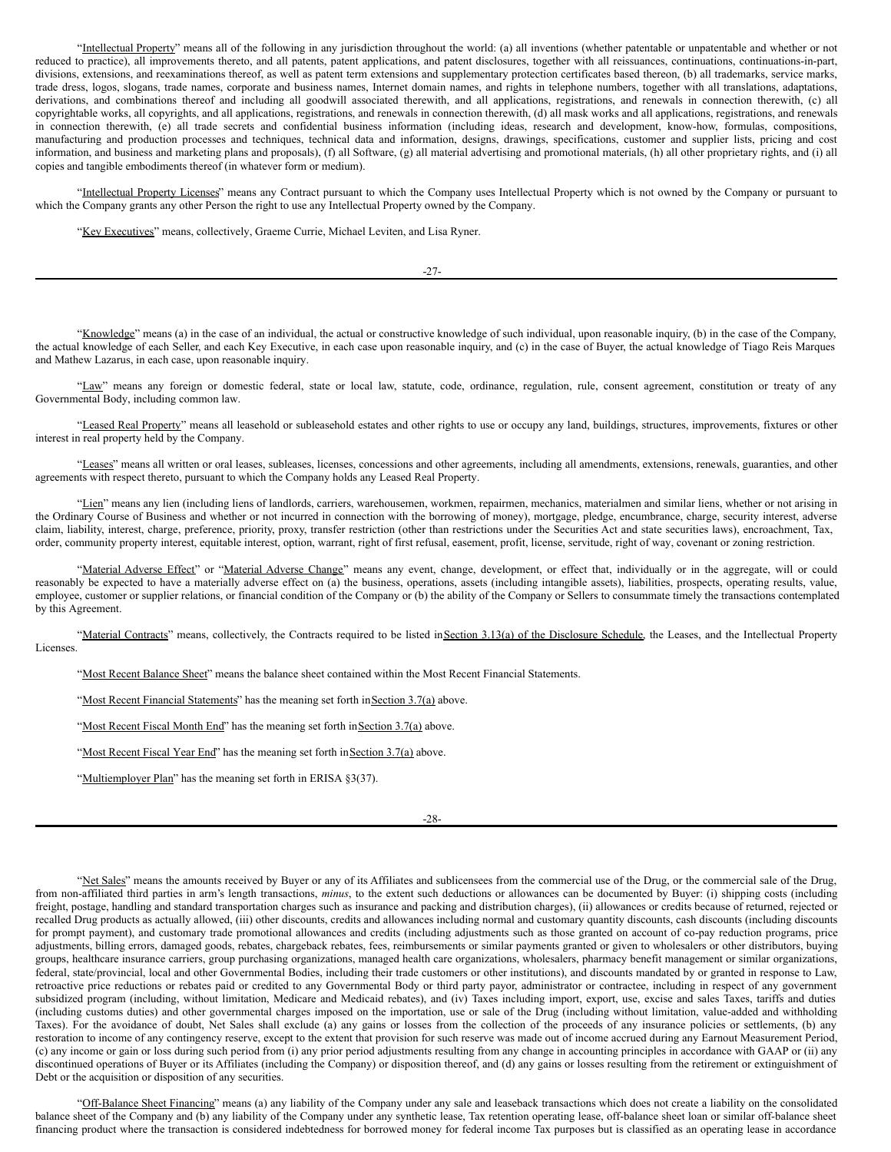"Intellectual Property" means all of the following in any jurisdiction throughout the world: (a) all inventions (whether patentable or unpatentable and whether or not reduced to practice), all improvements thereto, and all patents, patent applications, and patent disclosures, together with all reissuances, continuations, continuations-in-part, divisions, extensions, and reexaminations thereof, as well as patent term extensions and supplementary protection certificates based thereon, (b) all trademarks, service marks, trade dress, logos, slogans, trade names, corporate and business names, Internet domain names, and rights in telephone numbers, together with all translations, adaptations, derivations, and combinations thereof and including all goodwill associated therewith, and all applications, registrations, and renewals in connection therewith, (c) all copyrightable works, all copyrights, and all applications, registrations, and renewals in connection therewith, (d) all mask works and all applications, registrations, and renewals in connection therewith, (e) all trade secrets and confidential business information (including ideas, research and development, know-how, formulas, compositions, manufacturing and production processes and techniques, technical data and information, designs, drawings, specifications, customer and supplier lists, pricing and cost information, and business and marketing plans and proposals), (f) all Software, (g) all material advertising and promotional materials, (h) all other proprietary rights, and (i) all copies and tangible embodiments thereof (in whatever form or medium).

"Intellectual Property Licenses" means any Contract pursuant to which the Company uses Intellectual Property which is not owned by the Company or pursuant to which the Company grants any other Person the right to use any Intellectual Property owned by the Company.

"Key Executives" means, collectively, Graeme Currie, Michael Leviten, and Lisa Ryner.

-27-

"Knowledge" means (a) in the case of an individual, the actual or constructive knowledge of such individual, upon reasonable inquiry, (b) in the case of the Company, the actual knowledge of each Seller, and each Key Executive, in each case upon reasonable inquiry, and (c) in the case of Buyer, the actual knowledge of Tiago Reis Marques and Mathew Lazarus, in each case, upon reasonable inquiry.

"Law" means any foreign or domestic federal, state or local law, statute, code, ordinance, regulation, rule, consent agreement, constitution or treaty of any Governmental Body, including common law.

"Leased Real Property" means all leasehold or subleasehold estates and other rights to use or occupy any land, buildings, structures, improvements, fixtures or other interest in real property held by the Company.

"Leases" means all written or oral leases, subleases, licenses, concessions and other agreements, including all amendments, extensions, renewals, guaranties, and other agreements with respect thereto, pursuant to which the Company holds any Leased Real Property.

"Lien" means any lien (including liens of landlords, carriers, warehousemen, workmen, repairmen, mechanics, materialmen and similar liens, whether or not arising in the Ordinary Course of Business and whether or not incurred in connection with the borrowing of money), mortgage, pledge, encumbrance, charge, security interest, adverse claim, liability, interest, charge, preference, priority, proxy, transfer restriction (other than restrictions under the Securities Act and state securities laws), encroachment, Tax, order, community property interest, equitable interest, option, warrant, right of first refusal, easement, profit, license, servitude, right of way, covenant or zoning restriction.

"Material Adverse Effect" or "Material Adverse Change" means any event, change, development, or effect that, individually or in the aggregate, will or could reasonably be expected to have a materially adverse effect on (a) the business, operations, assets (including intangible assets), liabilities, prospects, operating results, value, employee, customer or supplier relations, or financial condition of the Company or (b) the ability of the Company or Sellers to consummate timely the transactions contemplated by this Agreement.

"Material Contracts" means, collectively, the Contracts required to be listed inSection 3.13(a) of the Disclosure Schedule, the Leases, and the Intellectual Property Licenses.

"Most Recent Balance Sheet" means the balance sheet contained within the Most Recent Financial Statements.

"Most Recent Financial Statements" has the meaning set forth in Section 3.7(a) above.

"Most Recent Fiscal Month End" has the meaning set forth in Section 3.7(a) above.

"Most Recent Fiscal Year End" has the meaning set forth in Section 3.7(a) above.

"Multiemployer Plan" has the meaning set forth in ERISA §3(37).

-28-

"Net Sales" means the amounts received by Buyer or any of its Affiliates and sublicensees from the commercial use of the Drug, or the commercial sale of the Drug, from non-affiliated third parties in arm's length transactions, *minus*, to the extent such deductions or allowances can be documented by Buyer: (i) shipping costs (including freight, postage, handling and standard transportation charges such as insurance and packing and distribution charges), (ii) allowances or credits because of returned, rejected or recalled Drug products as actually allowed, (iii) other discounts, credits and allowances including normal and customary quantity discounts, cash discounts (including discounts for prompt payment), and customary trade promotional allowances and credits (including adjustments such as those granted on account of co-pay reduction programs, price adjustments, billing errors, damaged goods, rebates, chargeback rebates, fees, reimbursements or similar payments granted or given to wholesalers or other distributors, buying groups, healthcare insurance carriers, group purchasing organizations, managed health care organizations, wholesalers, pharmacy benefit management or similar organizations, federal, state/provincial, local and other Governmental Bodies, including their trade customers or other institutions), and discounts mandated by or granted in response to Law, retroactive price reductions or rebates paid or credited to any Governmental Body or third party payor, administrator or contractee, including in respect of any government subsidized program (including, without limitation, Medicare and Medicaid rebates), and (iv) Taxes including import, export, use, excise and sales Taxes, tariffs and duties (including customs duties) and other governmental charges imposed on the importation, use or sale of the Drug (including without limitation, value-added and withholding Taxes). For the avoidance of doubt, Net Sales shall exclude (a) any gains or losses from the collection of the proceeds of any insurance policies or settlements, (b) any restoration to income of any contingency reserve, except to the extent that provision for such reserve was made out of income accrued during any Earnout Measurement Period, (c) any income or gain or loss during such period from (i) any prior period adjustments resulting from any change in accounting principles in accordance with GAAP or (ii) any discontinued operations of Buyer or its Affiliates (including the Company) or disposition thereof, and (d) any gains or losses resulting from the retirement or extinguishment of Debt or the acquisition or disposition of any securities.

"Off-Balance Sheet Financing" means (a) any liability of the Company under any sale and leaseback transactions which does not create a liability on the consolidated balance sheet of the Company and (b) any liability of the Company under any synthetic lease, Tax retention operating lease, off-balance sheet loan or similar off-balance sheet financing product where the transaction is considered indebtedness for borrowed money for federal income Tax purposes but is classified as an operating lease in accordance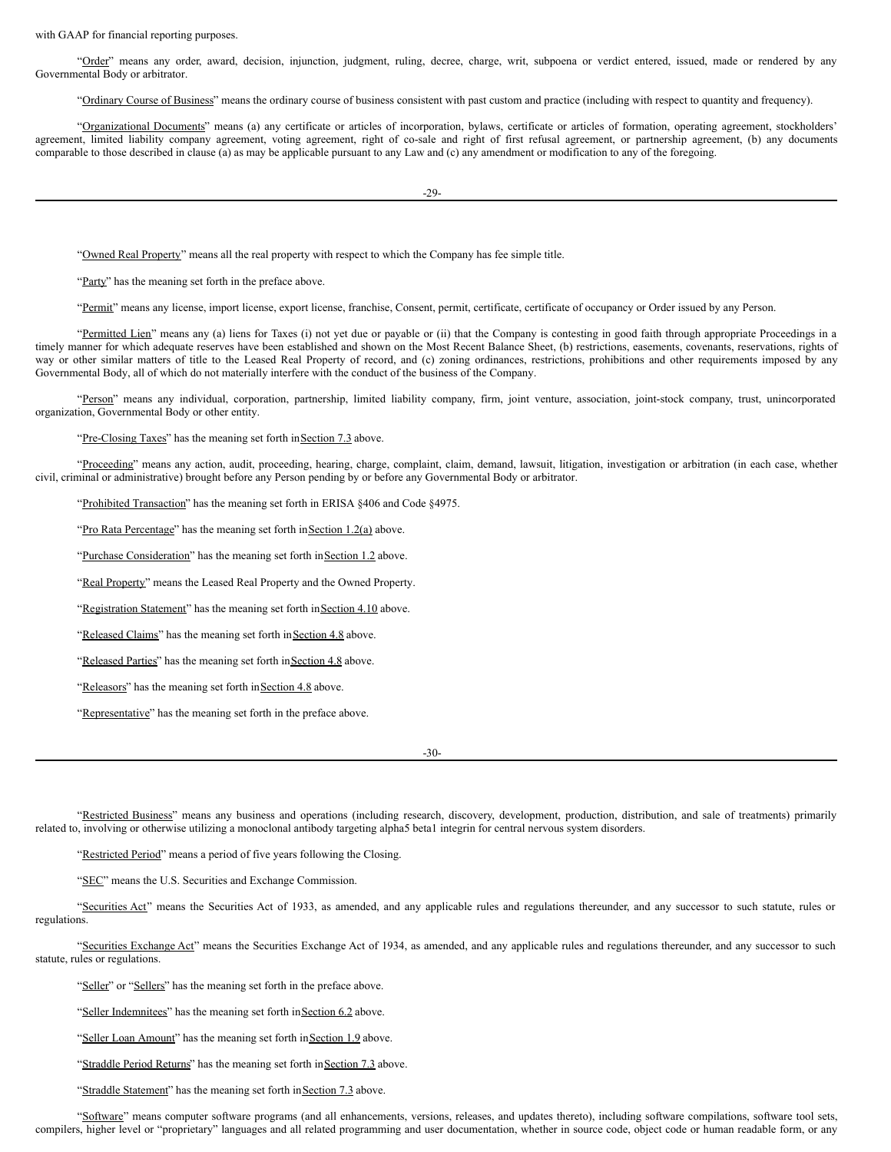with GAAP for financial reporting purposes.

"Order" means any order, award, decision, injunction, judgment, ruling, decree, charge, writ, subpoena or verdict entered, issued, made or rendered by any Governmental Body or arbitrator.

"Ordinary Course of Business" means the ordinary course of business consistent with past custom and practice (including with respect to quantity and frequency).

"Organizational Documents" means (a) any certificate or articles of incorporation, bylaws, certificate or articles of formation, operating agreement, stockholders' agreement, limited liability company agreement, voting agreement, right of co-sale and right of first refusal agreement, or partnership agreement, (b) any documents comparable to those described in clause (a) as may be applicable pursuant to any Law and (c) any amendment or modification to any of the foregoing.

-29-

"Owned Real Property" means all the real property with respect to which the Company has fee simple title.

"Party" has the meaning set forth in the preface above.

"Permit" means any license, import license, export license, franchise, Consent, permit, certificate, certificate of occupancy or Order issued by any Person.

"Permitted Lien" means any (a) liens for Taxes (i) not yet due or payable or (ii) that the Company is contesting in good faith through appropriate Proceedings in a timely manner for which adequate reserves have been established and shown on the Most Recent Balance Sheet, (b) restrictions, easements, covenants, reservations, rights of way or other similar matters of title to the Leased Real Property of record, and (c) zoning ordinances, restrictions, prohibitions and other requirements imposed by any Governmental Body, all of which do not materially interfere with the conduct of the business of the Company.

"Person" means any individual, corporation, partnership, limited liability company, firm, joint venture, association, joint-stock company, trust, unincorporated organization, Governmental Body or other entity.

"Pre-Closing Taxes" has the meaning set forth inSection 7.3 above.

"Proceeding" means any action, audit, proceeding, hearing, charge, complaint, claim, demand, lawsuit, litigation, investigation or arbitration (in each case, whether civil, criminal or administrative) brought before any Person pending by or before any Governmental Body or arbitrator.

"Prohibited Transaction" has the meaning set forth in ERISA §406 and Code §4975.

"Pro Rata Percentage" has the meaning set forth in Section 1.2(a) above.

"Purchase Consideration" has the meaning set forth in Section 1.2 above.

"Real Property" means the Leased Real Property and the Owned Property.

"Registration Statement" has the meaning set forth in Section 4.10 above.

"Released Claims" has the meaning set forth inSection 4.8 above.

"Released Parties" has the meaning set forth inSection 4.8 above.

"Releasors" has the meaning set forth in Section 4.8 above.

"Representative" has the meaning set forth in the preface above.

-30-

"Restricted Business" means any business and operations (including research, discovery, development, production, distribution, and sale of treatments) primarily related to, involving or otherwise utilizing a monoclonal antibody targeting alpha5 beta1 integrin for central nervous system disorders.

"Restricted Period" means a period of five years following the Closing.

"SEC" means the U.S. Securities and Exchange Commission.

"Securities Act" means the Securities Act of 1933, as amended, and any applicable rules and regulations thereunder, and any successor to such statute, rules or regulations.

"Securities Exchange Act" means the Securities Exchange Act of 1934, as amended, and any applicable rules and regulations thereunder, and any successor to such statute, rules or regulations.

"Seller" or "Sellers" has the meaning set forth in the preface above.

"Seller Indemnitees" has the meaning set forth in Section 6.2 above.

"Seller Loan Amount" has the meaning set forth in Section 1.9 above.

"Straddle Period Returns" has the meaning set forth in Section 7.3 above.

"Straddle Statement" has the meaning set forth in Section 7.3 above.

"Software" means computer software programs (and all enhancements, versions, releases, and updates thereto), including software compilations, software tool sets, compilers, higher level or "proprietary" languages and all related programming and user documentation, whether in source code, object code or human readable form, or any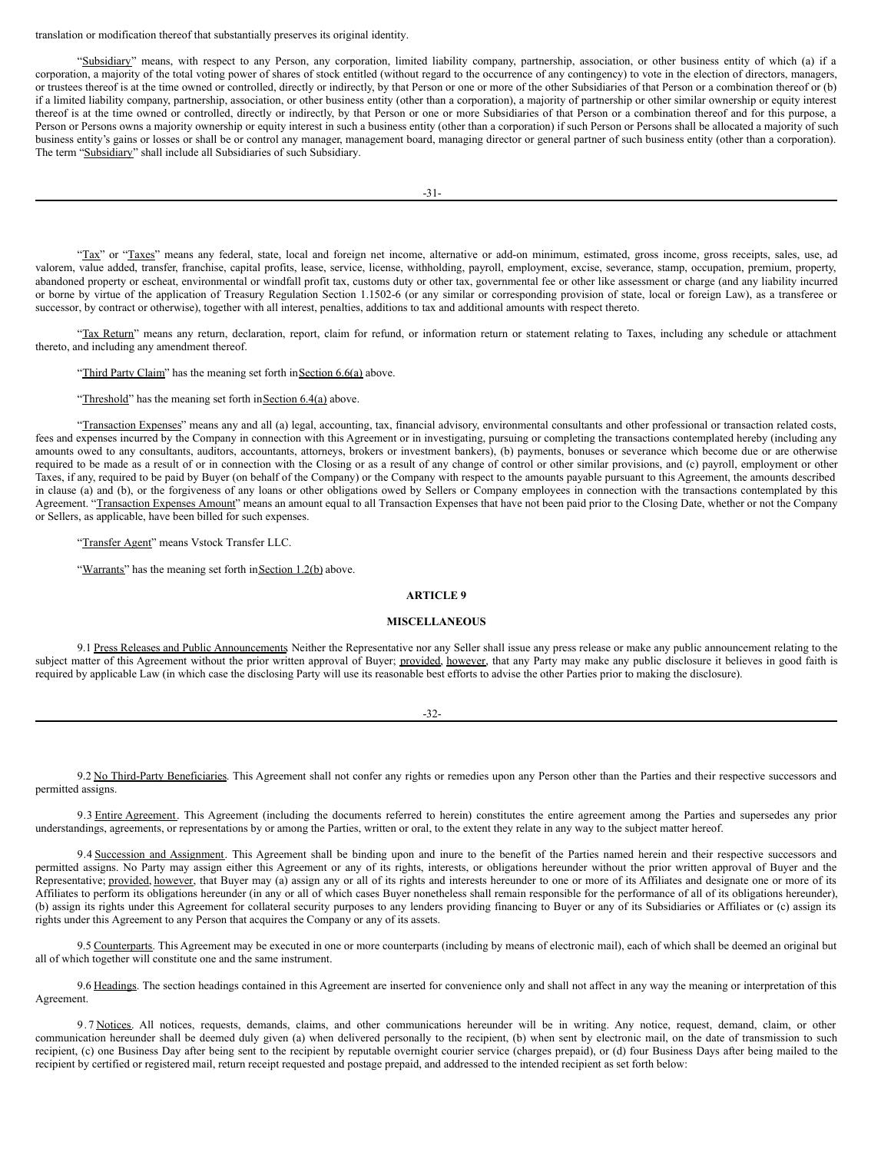translation or modification thereof that substantially preserves its original identity.

"Subsidiary" means, with respect to any Person, any corporation, limited liability company, partnership, association, or other business entity of which (a) if a corporation, a majority of the total voting power of shares of stock entitled (without regard to the occurrence of any contingency) to vote in the election of directors, managers, or trustees thereof is at the time owned or controlled, directly or indirectly, by that Person or one or more of the other Subsidiaries of that Person or a combination thereof or (b) if a limited liability company, partnership, association, or other business entity (other than a corporation), a majority of partnership or other similar ownership or equity interest thereof is at the time owned or controlled, directly or indirectly, by that Person or one or more Subsidiaries of that Person or a combination thereof and for this purpose, a Person or Persons owns a majority ownership or equity interest in such a business entity (other than a corporation) if such Person or Persons shall be allocated a majority of such business entity's gains or losses or shall be or control any manager, management board, managing director or general partner of such business entity (other than a corporation). The term "Subsidiary" shall include all Subsidiaries of such Subsidiary.

"Tax" or "Taxes" means any federal, state, local and foreign net income, alternative or add-on minimum, estimated, gross income, gross receipts, sales, use, ad valorem, value added, transfer, franchise, capital profits, lease, service, license, withholding, payroll, employment, excise, severance, stamp, occupation, premium, property, abandoned property or escheat, environmental or windfall profit tax, customs duty or other tax, governmental fee or other like assessment or charge (and any liability incurred or borne by virtue of the application of Treasury Regulation Section 1.1502-6 (or any similar or corresponding provision of state, local or foreign Law), as a transferee or successor, by contract or otherwise), together with all interest, penalties, additions to tax and additional amounts with respect thereto.

"Tax Return" means any return, declaration, report, claim for refund, or information return or statement relating to Taxes, including any schedule or attachment thereto, and including any amendment thereof.

"Third Party Claim" has the meaning set forth inSection 6.6(a) above.

"Threshold" has the meaning set forth in Section 6.4(a) above.

"Transaction Expenses" means any and all (a) legal, accounting, tax, financial advisory, environmental consultants and other professional or transaction related costs, fees and expenses incurred by the Company in connection with this Agreement or in investigating, pursuing or completing the transactions contemplated hereby (including any amounts owed to any consultants, auditors, accountants, attorneys, brokers or investment bankers), (b) payments, bonuses or severance which become due or are otherwise required to be made as a result of or in connection with the Closing or as a result of any change of control or other similar provisions, and (c) payroll, employment or other Taxes, if any, required to be paid by Buyer (on behalf of the Company) or the Company with respect to the amounts payable pursuant to this Agreement, the amounts described in clause (a) and (b), or the forgiveness of any loans or other obligations owed by Sellers or Company employees in connection with the transactions contemplated by this Agreement. "Transaction Expenses Amount" means an amount equal to all Transaction Expenses that have not been paid prior to the Closing Date, whether or not the Company or Sellers, as applicable, have been billed for such expenses.

"Transfer Agent" means Vstock Transfer LLC.

"Warrants" has the meaning set forth in Section 1.2(b) above.

# **ARTICLE 9**

#### **MISCELLANEOUS**

9.1 Press Releases and Public Announcements Neither the Representative nor any Seller shall issue any press release or make any public announcement relating to the subject matter of this Agreement without the prior written approval of Buyer; provided, however, that any Party may make any public disclosure it believes in good faith is required by applicable Law (in which case the disclosing Party will use its reasonable best efforts to advise the other Parties prior to making the disclosure).

-32-

9.2 No Third-Party Beneficiaries. This Agreement shall not confer any rights or remedies upon any Person other than the Parties and their respective successors and permitted assigns.

9.3 Entire Agreement. This Agreement (including the documents referred to herein) constitutes the entire agreement among the Parties and supersedes any prior understandings, agreements, or representations by or among the Parties, written or oral, to the extent they relate in any way to the subject matter hereof.

9.4 Succession and Assignment. This Agreement shall be binding upon and inure to the benefit of the Parties named herein and their respective successors and permitted assigns. No Party may assign either this Agreement or any of its rights, interests, or obligations hereunder without the prior written approval of Buyer and the Representative; provided, however, that Buyer may (a) assign any or all of its rights and interests hereunder to one or more of its Affiliates and designate one or more of its Affiliates to perform its obligations hereunder (in any or all of which cases Buyer nonetheless shall remain responsible for the performance of all of its obligations hereunder), (b) assign its rights under this Agreement for collateral security purposes to any lenders providing financing to Buyer or any of its Subsidiaries or Affiliates or (c) assign its rights under this Agreement to any Person that acquires the Company or any of its assets.

9.5 Counterparts. This Agreement may be executed in one or more counterparts (including by means of electronic mail), each of which shall be deemed an original but all of which together will constitute one and the same instrument.

9.6 Headings. The section headings contained in this Agreement are inserted for convenience only and shall not affect in any way the meaning or interpretation of this Agreement.

9.7 Notices. All notices, requests, demands, claims, and other communications hereunder will be in writing. Any notice, request, demand, claim, or other communication hereunder shall be deemed duly given (a) when delivered personally to the recipient, (b) when sent by electronic mail, on the date of transmission to such recipient, (c) one Business Day after being sent to the recipient by reputable overnight courier service (charges prepaid), or (d) four Business Days after being mailed to the recipient by certified or registered mail, return receipt requested and postage prepaid, and addressed to the intended recipient as set forth below: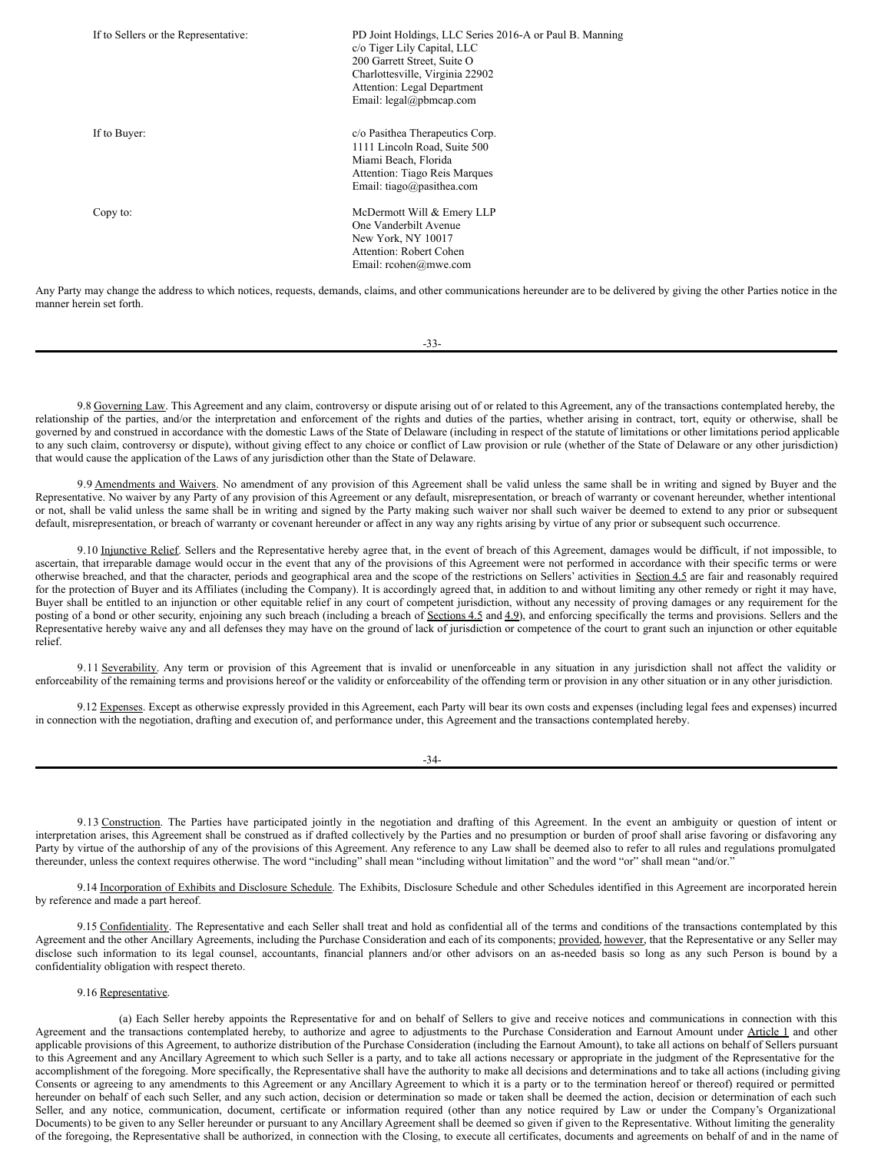| If to Sellers or the Representative: | PD Joint Holdings, LLC Series 2016-A or Paul B. Manning<br>c/o Tiger Lily Capital, LLC<br>200 Garrett Street, Suite O<br>Charlottesville, Virginia 22902<br>Attention: Legal Department<br>Email: legal@pbmcap.com |
|--------------------------------------|--------------------------------------------------------------------------------------------------------------------------------------------------------------------------------------------------------------------|
| If to Buyer:                         | c/o Pasithea Therapeutics Corp.<br>1111 Lincoln Road, Suite 500<br>Miami Beach, Florida<br>Attention: Tiago Reis Marques<br>Email: tiago@pasithea.com                                                              |
| Copy to:                             | McDermott Will & Emery LLP<br>One Vanderbilt Avenue<br>New York, NY 10017<br>Attention: Robert Cohen<br>Email: $rcohen@mwe.com$                                                                                    |

Any Party may change the address to which notices, requests, demands, claims, and other communications hereunder are to be delivered by giving the other Parties notice in the manner herein set forth.

| _<br>--<br>I<br>I<br>I<br>$\sim$<br>×<br>v |
|--------------------------------------------|
|--------------------------------------------|

9.8 Governing Law. This Agreement and any claim, controversy or dispute arising out of or related to this Agreement, any of the transactions contemplated hereby, the relationship of the parties, and/or the interpretation and enforcement of the rights and duties of the parties, whether arising in contract, tort, equity or otherwise, shall be governed by and construed in accordance with the domestic Laws of the State of Delaware (including in respect of the statute of limitations or other limitations period applicable to any such claim, controversy or dispute), without giving effect to any choice or conflict of Law provision or rule (whether of the State of Delaware or any other jurisdiction) that would cause the application of the Laws of any jurisdiction other than the State of Delaware.

9.9 Amendments and Waivers. No amendment of any provision of this Agreement shall be valid unless the same shall be in writing and signed by Buyer and the Representative. No waiver by any Party of any provision of this Agreement or any default, misrepresentation, or breach of warranty or covenant hereunder, whether intentional or not, shall be valid unless the same shall be in writing and signed by the Party making such waiver nor shall such waiver be deemed to extend to any prior or subsequent default, misrepresentation, or breach of warranty or covenant hereunder or affect in any way any rights arising by virtue of any prior or subsequent such occurrence.

9.10 Injunctive Relief. Sellers and the Representative hereby agree that, in the event of breach of this Agreement, damages would be difficult, if not impossible, to ascertain, that irreparable damage would occur in the event that any of the provisions of this Agreement were not performed in accordance with their specific terms or were otherwise breached, and that the character, periods and geographical area and the scope of the restrictions on Sellers' activities in Section 4.5 are fair and reasonably required for the protection of Buyer and its Affiliates (including the Company). It is accordingly agreed that, in addition to and without limiting any other remedy or right it may have, Buyer shall be entitled to an injunction or other equitable relief in any court of competent jurisdiction, without any necessity of proving damages or any requirement for the posting of a bond or other security, enjoining any such breach (including a breach of Sections 4.5 and 4.9), and enforcing specifically the terms and provisions. Sellers and the Representative hereby waive any and all defenses they may have on the ground of lack of jurisdiction or competence of the court to grant such an injunction or other equitable relief.

9.11 Severability. Any term or provision of this Agreement that is invalid or unenforceable in any situation in any jurisdiction shall not affect the validity or enforceability of the remaining terms and provisions hereof or the validity or enforceability of the offending term or provision in any other situation or in any other jurisdiction.

9.12 Expenses. Except as otherwise expressly provided in this Agreement, each Party will bear its own costs and expenses (including legal fees and expenses) incurred in connection with the negotiation, drafting and execution of, and performance under, this Agreement and the transactions contemplated hereby.

-34-

9.13 Construction. The Parties have participated jointly in the negotiation and drafting of this Agreement. In the event an ambiguity or question of intent or interpretation arises, this Agreement shall be construed as if drafted collectively by the Parties and no presumption or burden of proof shall arise favoring or disfavoring any Party by virtue of the authorship of any of the provisions of this Agreement. Any reference to any Law shall be deemed also to refer to all rules and regulations promulgated thereunder, unless the context requires otherwise. The word "including" shall mean "including without limitation" and the word "or" shall mean "and/or."

9.14 Incorporation of Exhibits and Disclosure Schedule. The Exhibits, Disclosure Schedule and other Schedules identified in this Agreement are incorporated herein by reference and made a part hereof.

9.15 Confidentiality. The Representative and each Seller shall treat and hold as confidential all of the terms and conditions of the transactions contemplated by this Agreement and the other Ancillary Agreements, including the Purchase Consideration and each of its components; provided, however, that the Representative or any Seller may disclose such information to its legal counsel, accountants, financial planners and/or other advisors on an as-needed basis so long as any such Person is bound by a confidentiality obligation with respect thereto.

# 9.16 Representative.

(a) Each Seller hereby appoints the Representative for and on behalf of Sellers to give and receive notices and communications in connection with this Agreement and the transactions contemplated hereby, to authorize and agree to adjustments to the Purchase Consideration and Earnout Amount under Article 1 and other applicable provisions of this Agreement, to authorize distribution of the Purchase Consideration (including the Earnout Amount), to take all actions on behalf of Sellers pursuant to this Agreement and any Ancillary Agreement to which such Seller is a party, and to take all actions necessary or appropriate in the judgment of the Representative for the accomplishment of the foregoing. More specifically, the Representative shall have the authority to make all decisions and determinations and to take all actions (including giving Consents or agreeing to any amendments to this Agreement or any Ancillary Agreement to which it is a party or to the termination hereof or thereof) required or permitted hereunder on behalf of each such Seller, and any such action, decision or determination so made or taken shall be deemed the action, decision or determination of each such Seller, and any notice, communication, document, certificate or information required (other than any notice required by Law or under the Company's Organizational Documents) to be given to any Seller hereunder or pursuant to any Ancillary Agreement shall be deemed so given if given to the Representative. Without limiting the generality of the foregoing, the Representative shall be authorized, in connection with the Closing, to execute all certificates, documents and agreements on behalf of and in the name of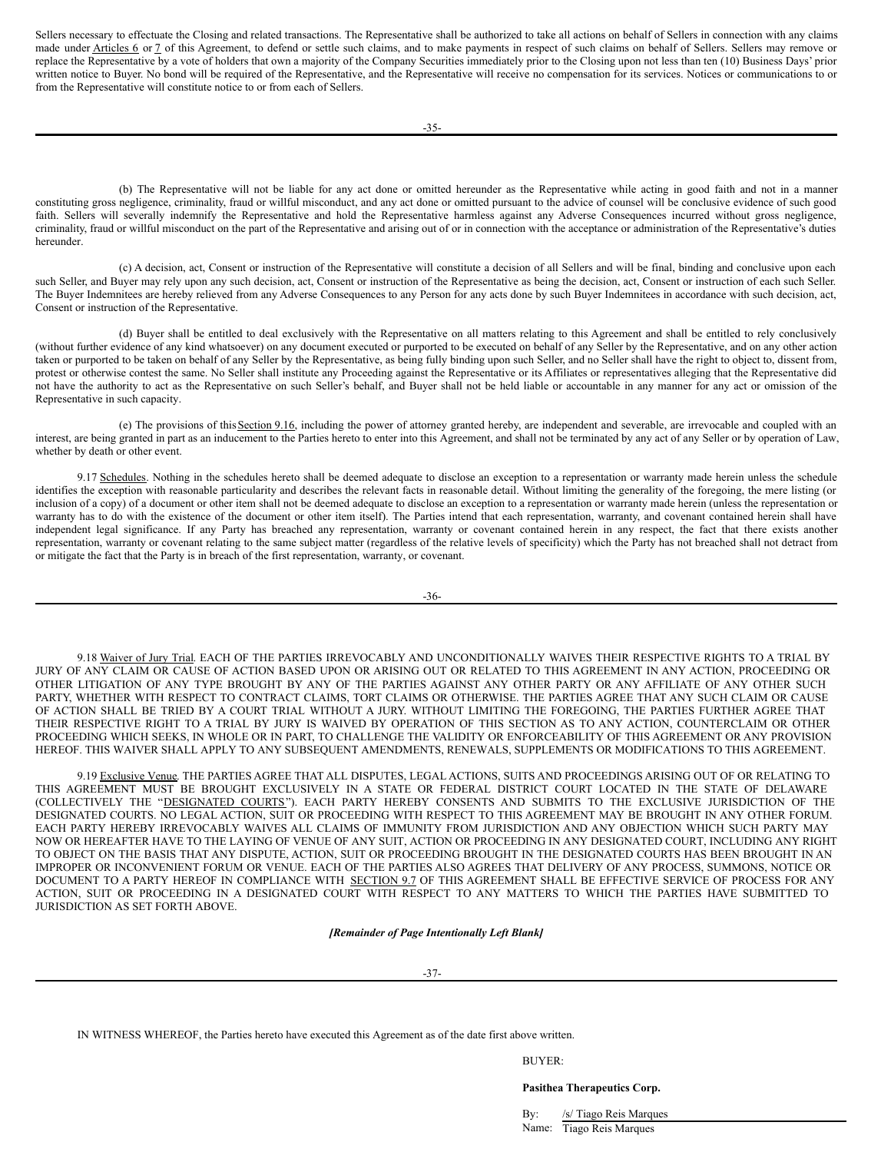Sellers necessary to effectuate the Closing and related transactions. The Representative shall be authorized to take all actions on behalf of Sellers in connection with any claims made under Articles 6 or 7 of this Agreement, to defend or settle such claims, and to make payments in respect of such claims on behalf of Sellers. Sellers may remove or replace the Representative by a vote of holders that own a majority of the Company Securities immediately prior to the Closing upon not less than ten (10) Business Days' prior written notice to Buyer. No bond will be required of the Representative, and the Representative will receive no compensation for its services. Notices or communications to or from the Representative will constitute notice to or from each of Sellers.

(b) The Representative will not be liable for any act done or omitted hereunder as the Representative while acting in good faith and not in a manner constituting gross negligence, criminality, fraud or willful misconduct, and any act done or omitted pursuant to the advice of counsel will be conclusive evidence of such good faith. Sellers will severally indemnify the Representative and hold the Representative harmless against any Adverse Consequences incurred without gross negligence, criminality, fraud or willful misconduct on the part of the Representative and arising out of or in connection with the acceptance or administration of the Representative's duties hereunder.

(c) A decision, act, Consent or instruction of the Representative will constitute a decision of all Sellers and will be final, binding and conclusive upon each such Seller, and Buyer may rely upon any such decision, act, Consent or instruction of the Representative as being the decision, act, Consent or instruction of each such Seller. The Buyer Indemnitees are hereby relieved from any Adverse Consequences to any Person for any acts done by such Buyer Indemnitees in accordance with such decision, act, Consent or instruction of the Representative.

(d) Buyer shall be entitled to deal exclusively with the Representative on all matters relating to this Agreement and shall be entitled to rely conclusively (without further evidence of any kind whatsoever) on any document executed or purported to be executed on behalf of any Seller by the Representative, and on any other action taken or purported to be taken on behalf of any Seller by the Representative, as being fully binding upon such Seller, and no Seller shall have the right to object to, dissent from, protest or otherwise contest the same. No Seller shall institute any Proceeding against the Representative or its Affiliates or representatives alleging that the Representative did not have the authority to act as the Representative on such Seller's behalf, and Buyer shall not be held liable or accountable in any manner for any act or omission of the Representative in such capacity.

(e) The provisions of thisSection 9.16, including the power of attorney granted hereby, are independent and severable, are irrevocable and coupled with an interest, are being granted in part as an inducement to the Parties hereto to enter into this Agreement, and shall not be terminated by any act of any Seller or by operation of Law, whether by death or other event.

9.17 Schedules. Nothing in the schedules hereto shall be deemed adequate to disclose an exception to a representation or warranty made herein unless the schedule identifies the exception with reasonable particularity and describes the relevant facts in reasonable detail. Without limiting the generality of the foregoing, the mere listing (or inclusion of a copy) of a document or other item shall not be deemed adequate to disclose an exception to a representation or warranty made herein (unless the representation or warranty has to do with the existence of the document or other item itself). The Parties intend that each representation, warranty, and covenant contained herein shall have independent legal significance. If any Party has breached any representation, warranty or covenant contained herein in any respect, the fact that there exists another representation, warranty or covenant relating to the same subject matter (regardless of the relative levels of specificity) which the Party has not breached shall not detract from or mitigate the fact that the Party is in breach of the first representation, warranty, or covenant.

$$
-36-
$$

9.18 Waiver of Jury Trial. EACH OF THE PARTIES IRREVOCABLY AND UNCONDITIONALLY WAIVES THEIR RESPECTIVE RIGHTS TO A TRIAL BY JURY OF ANY CLAIM OR CAUSE OF ACTION BASED UPON OR ARISING OUT OR RELATED TO THIS AGREEMENT IN ANY ACTION, PROCEEDING OR OTHER LITIGATION OF ANY TYPE BROUGHT BY ANY OF THE PARTIES AGAINST ANY OTHER PARTY OR ANY AFFILIATE OF ANY OTHER SUCH PARTY, WHETHER WITH RESPECT TO CONTRACT CLAIMS, TORT CLAIMS OR OTHERWISE. THE PARTIES AGREE THAT ANY SUCH CLAIM OR CAUSE OF ACTION SHALL BE TRIED BY A COURT TRIAL WITHOUT A JURY. WITHOUT LIMITING THE FOREGOING, THE PARTIES FURTHER AGREE THAT THEIR RESPECTIVE RIGHT TO A TRIAL BY JURY IS WAIVED BY OPERATION OF THIS SECTION AS TO ANY ACTION, COUNTERCLAIM OR OTHER PROCEEDING WHICH SEEKS, IN WHOLE OR IN PART, TO CHALLENGE THE VALIDITY OR ENFORCEABILITY OF THIS AGREEMENT OR ANY PROVISION HEREOF. THIS WAIVER SHALL APPLY TO ANY SUBSEQUENT AMENDMENTS, RENEWALS, SUPPLEMENTS OR MODIFICATIONS TO THIS AGREEMENT.

9.19 Exclusive Venue. THE PARTIES AGREE THAT ALL DISPUTES, LEGAL ACTIONS, SUITS AND PROCEEDINGS ARISING OUT OF OR RELATING TO THIS AGREEMENT MUST BE BROUGHT EXCLUSIVELY IN A STATE OR FEDERAL DISTRICT COURT LOCATED IN THE STATE OF DELAWARE (COLLECTIVELY THE "DESIGNATED COURTS"). EACH PARTY HEREBY CONSENTS AND SUBMITS TO THE EXCLUSIVE JURISDICTION OF THE DESIGNATED COURTS. NO LEGAL ACTION, SUIT OR PROCEEDING WITH RESPECT TO THIS AGREEMENT MAY BE BROUGHT IN ANY OTHER FORUM. EACH PARTY HEREBY IRREVOCABLY WAIVES ALL CLAIMS OF IMMUNITY FROM JURISDICTION AND ANY OBJECTION WHICH SUCH PARTY MAY NOW OR HEREAFTER HAVE TO THE LAYING OF VENUE OF ANY SUIT, ACTION OR PROCEEDING IN ANY DESIGNATED COURT, INCLUDING ANY RIGHT TO OBJECT ON THE BASIS THAT ANY DISPUTE, ACTION, SUIT OR PROCEEDING BROUGHT IN THE DESIGNATED COURTS HAS BEEN BROUGHT IN AN IMPROPER OR INCONVENIENT FORUM OR VENUE. EACH OF THE PARTIES ALSO AGREES THAT DELIVERY OF ANY PROCESS, SUMMONS, NOTICE OR DOCUMENT TO A PARTY HEREOF IN COMPLIANCE WITH SECTION 9.7 OF THIS AGREEMENT SHALL BE EFFECTIVE SERVICE OF PROCESS FOR ANY ACTION, SUIT OR PROCEEDING IN A DESIGNATED COURT WITH RESPECT TO ANY MATTERS TO WHICH THE PARTIES HAVE SUBMITTED TO JURISDICTION AS SET FORTH ABOVE.

# *[Remainder of Page Intentionally Left Blank]*

IN WITNESS WHEREOF, the Parties hereto have executed this Agreement as of the date first above written.

BUYER:

**Pasithea Therapeutics Corp.**

By: /s/ Tiago Reis Marques Name: Tiago Reis Marques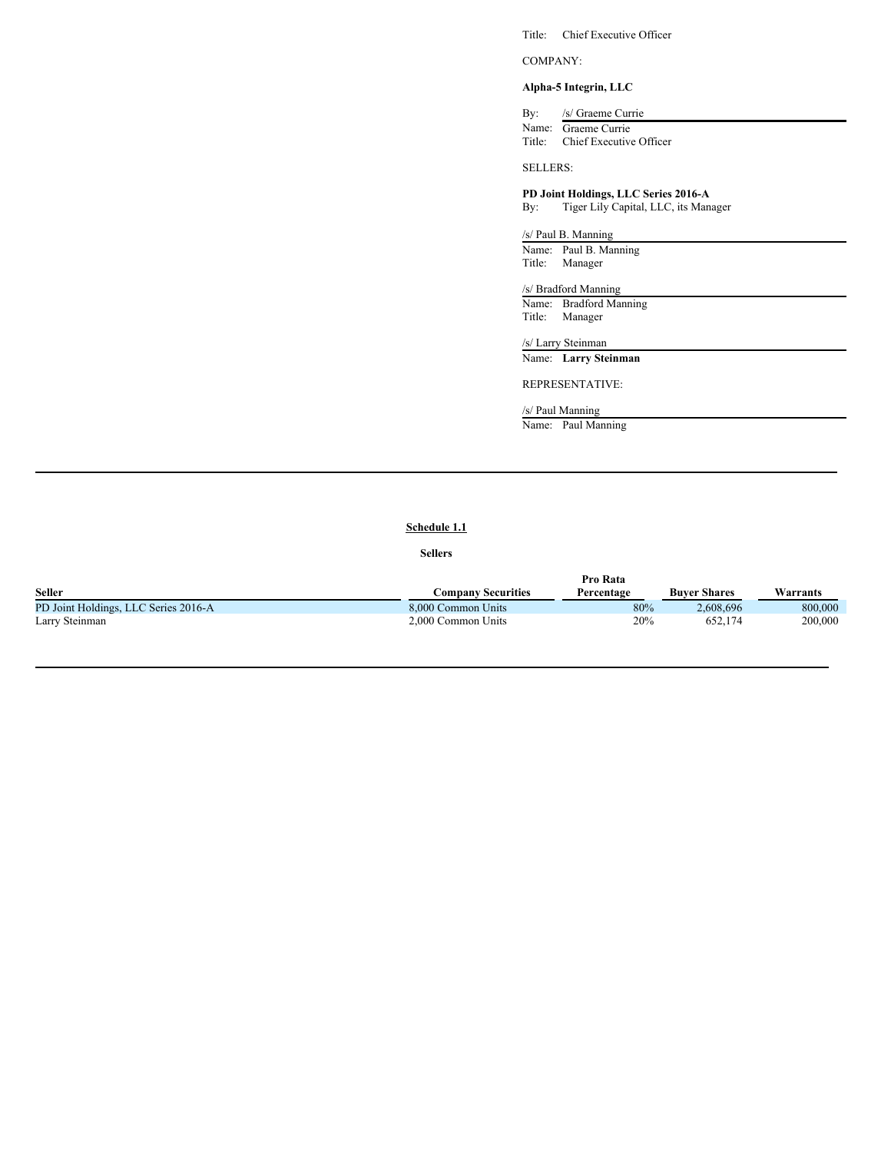Title: Chief Executive Officer

COMPANY:

# **Alpha-5 Integrin, LLC**

By: /s/ Graeme Currie Name: Graeme Currie Title: Chief Executive Officer

SELLERS:

# **PD Joint Holdings, LLC Series 2016-A**

By: Tiger Lily Capital, LLC, its Manager

/s/ Paul B. Manning Name: Paul B. Manning Title: Manager

# /s/ Bradford Manning

Name: Bradford Manning Title: Manager

/s/ Larry Steinman

Name: **Larry Steinman**

# REPRESENTATIVE:

/s/ Paul Manning

Name: Paul Manning

# **Schedule 1.1**

## **Sellers**

|                                      | Pro Rata                  |            |                     |          |
|--------------------------------------|---------------------------|------------|---------------------|----------|
| <b>Seller</b>                        | <b>Company Securities</b> | Percentage | <b>Buver Shares</b> | Warrants |
| PD Joint Holdings, LLC Series 2016-A | 8,000 Common Units        | 80%        | 2.608.696           | 800,000  |
| Larry Steinman                       | 2,000 Common Units        | 20%        | 652.174             | 200,000  |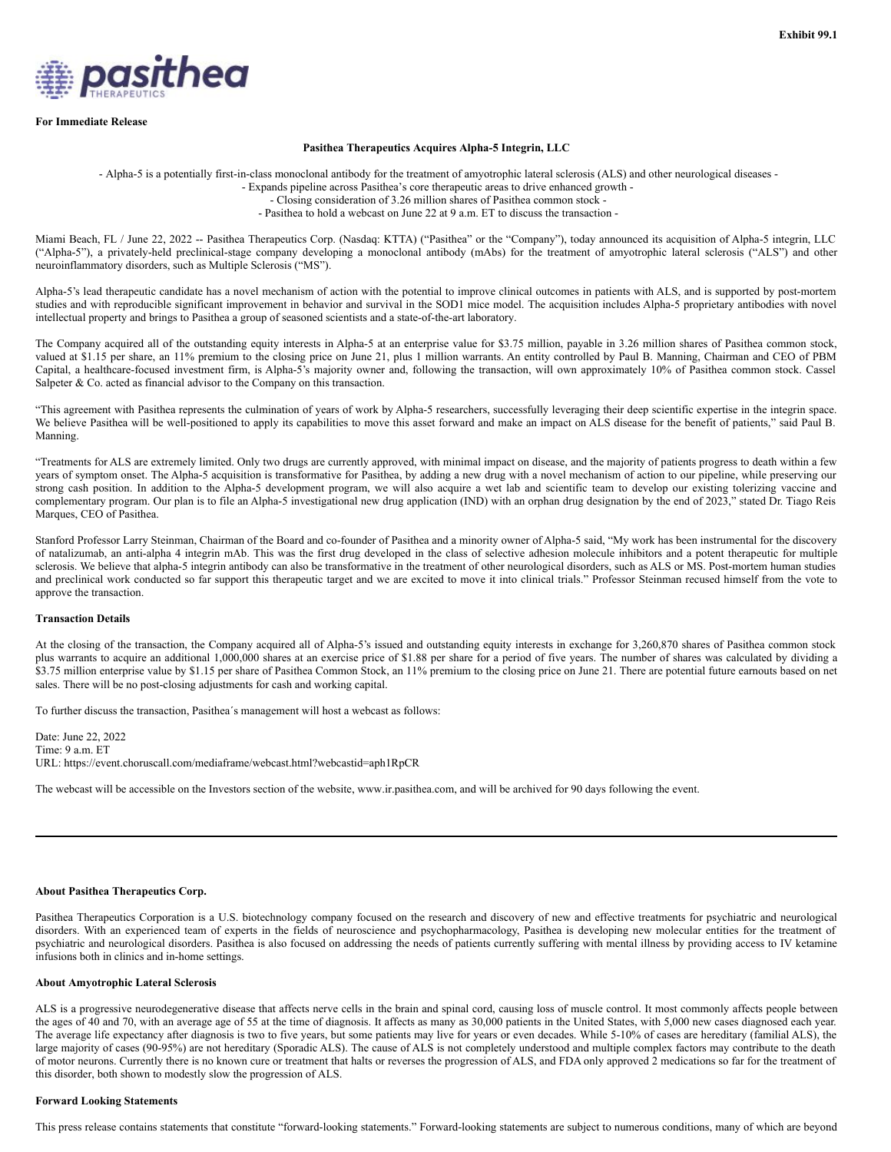<span id="page-23-0"></span>

#### **For Immediate Release**

#### **Pasithea Therapeutics Acquires Alpha-5 Integrin, LLC**

- Alpha-5 is a potentially first-in-class monoclonal antibody for the treatment of amyotrophic lateral sclerosis (ALS) and other neurological diseases -

- Expands pipeline across Pasithea's core therapeutic areas to drive enhanced growth -

- Closing consideration of 3.26 million shares of Pasithea common stock -

- Pasithea to hold a webcast on June 22 at 9 a.m. ET to discuss the transaction -

Miami Beach, FL / June 22, 2022 -- Pasithea Therapeutics Corp. (Nasdaq: KTTA) ("Pasithea" or the "Company"), today announced its acquisition of Alpha-5 integrin, LLC ("Alpha-5"), a privately-held preclinical-stage company developing a monoclonal antibody (mAbs) for the treatment of amyotrophic lateral sclerosis ("ALS") and other neuroinflammatory disorders, such as Multiple Sclerosis ("MS").

Alpha-5's lead therapeutic candidate has a novel mechanism of action with the potential to improve clinical outcomes in patients with ALS, and is supported by post-mortem studies and with reproducible significant improvement in behavior and survival in the SOD1 mice model. The acquisition includes Alpha-5 proprietary antibodies with novel intellectual property and brings to Pasithea a group of seasoned scientists and a state-of-the-art laboratory.

The Company acquired all of the outstanding equity interests in Alpha-5 at an enterprise value for \$3.75 million, payable in 3.26 million shares of Pasithea common stock, valued at \$1.15 per share, an 11% premium to the closing price on June 21, plus 1 million warrants. An entity controlled by Paul B. Manning, Chairman and CEO of PBM Capital, a healthcare-focused investment firm, is Alpha-5's majority owner and, following the transaction, will own approximately 10% of Pasithea common stock. Cassel Salpeter & Co. acted as financial advisor to the Company on this transaction.

"This agreement with Pasithea represents the culmination of years of work by Alpha-5 researchers, successfully leveraging their deep scientific expertise in the integrin space. We believe Pasithea will be well-positioned to apply its capabilities to move this asset forward and make an impact on ALS disease for the benefit of patients," said Paul B. Manning.

"Treatments for ALS are extremely limited. Only two drugs are currently approved, with minimal impact on disease, and the majority of patients progress to death within a few years of symptom onset. The Alpha-5 acquisition is transformative for Pasithea, by adding a new drug with a novel mechanism of action to our pipeline, while preserving our strong cash position. In addition to the Alpha-5 development program, we will also acquire a wet lab and scientific team to develop our existing tolerizing vaccine and complementary program. Our plan is to file an Alpha-5 investigational new drug application (IND) with an orphan drug designation by the end of 2023," stated Dr. Tiago Reis Marques, CEO of Pasithea.

Stanford Professor Larry Steinman, Chairman of the Board and co-founder of Pasithea and a minority owner of Alpha-5 said, "My work has been instrumental for the discovery of natalizumab, an anti-alpha 4 integrin mAb. This was the first drug developed in the class of selective adhesion molecule inhibitors and a potent therapeutic for multiple sclerosis. We believe that alpha-5 integrin antibody can also be transformative in the treatment of other neurological disorders, such as ALS or MS. Post-mortem human studies and preclinical work conducted so far support this therapeutic target and we are excited to move it into clinical trials." Professor Steinman recused himself from the vote to approve the transaction.

# **Transaction Details**

At the closing of the transaction, the Company acquired all of Alpha-5's issued and outstanding equity interests in exchange for 3,260,870 shares of Pasithea common stock plus warrants to acquire an additional 1,000,000 shares at an exercise price of \$1.88 per share for a period of five years. The number of shares was calculated by dividing a \$3.75 million enterprise value by \$1.15 per share of Pasithea Common Stock, an 11% premium to the closing price on June 21. There are potential future earnouts based on net sales. There will be no post-closing adjustments for cash and working capital.

To further discuss the transaction, Pasithea´s management will host a webcast as follows:

Date: June 22, 2022 Time: 9 a.m. ET URL: https://event.choruscall.com/mediaframe/webcast.html?webcastid=aph1RpCR

The webcast will be accessible on the Investors section of the website, www.ir.pasithea.com, and will be archived for 90 days following the event.

#### **About Pasithea Therapeutics Corp.**

Pasithea Therapeutics Corporation is a U.S. biotechnology company focused on the research and discovery of new and effective treatments for psychiatric and neurological disorders. With an experienced team of experts in the fields of neuroscience and psychopharmacology, Pasithea is developing new molecular entities for the treatment of psychiatric and neurological disorders. Pasithea is also focused on addressing the needs of patients currently suffering with mental illness by providing access to IV ketamine infusions both in clinics and in-home settings.

## **About Amyotrophic Lateral Sclerosis**

ALS is a progressive neurodegenerative disease that affects nerve cells in the brain and spinal cord, causing loss of muscle control. It most commonly affects people between the ages of 40 and 70, with an average age of 55 at the time of diagnosis. It affects as many as 30,000 patients in the United States, with 5,000 new cases diagnosed each year. The average life expectancy after diagnosis is two to five years, but some patients may live for years or even decades. While 5-10% of cases are hereditary (familial ALS), the large majority of cases (90-95%) are not hereditary (Sporadic ALS). The cause of ALS is not completely understood and multiple complex factors may contribute to the death of motor neurons. Currently there is no known cure or treatment that halts or reverses the progression of ALS, and FDA only approved 2 medications so far for the treatment of this disorder, both shown to modestly slow the progression of ALS.

#### **Forward Looking Statements**

This press release contains statements that constitute "forward-looking statements." Forward-looking statements are subject to numerous conditions, many of which are beyond